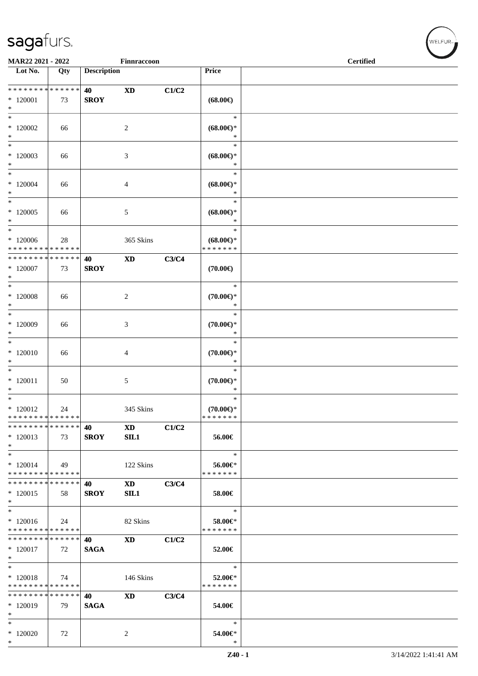| MAR22 2021 - 2022             |     |                    | Finnraccoon                |       |                     | <b>Certified</b> |
|-------------------------------|-----|--------------------|----------------------------|-------|---------------------|------------------|
| Lot No.                       | Qty | <b>Description</b> |                            |       | Price               |                  |
|                               |     |                    |                            |       |                     |                  |
| * * * * * * * * * * * * * *   |     | 40                 | $\boldsymbol{\mathrm{XD}}$ | C1/C2 |                     |                  |
|                               |     |                    |                            |       |                     |                  |
| $*120001$<br>$\ast$           | 73  | <b>SROY</b>        |                            |       | $(68.00\epsilon)$   |                  |
| $\ast$                        |     |                    |                            |       | $\ast$              |                  |
|                               |     |                    |                            |       |                     |                  |
| $\hspace{-2mm}^*$ 120002      | 66  |                    | $\overline{c}$             |       | $(68.00\epsilon)$ * |                  |
| $\ast$                        |     |                    |                            |       | $\ast$              |                  |
| $*$                           |     |                    |                            |       | $\ast$              |                  |
| $*120003$                     | 66  |                    | 3                          |       | $(68.00\epsilon)$ * |                  |
| $\ast$                        |     |                    |                            |       | $\ast$              |                  |
| $*$                           |     |                    |                            |       | $\ast$              |                  |
| $*120004$                     | 66  |                    | 4                          |       | $(68.00\epsilon)$ * |                  |
| $\ast$                        |     |                    |                            |       | $\ast$              |                  |
| $\overline{\phantom{0}}$      |     |                    |                            |       | $\ast$              |                  |
| $*120005$                     | 66  |                    | 5                          |       | $(68.00\epsilon)$ * |                  |
| $*$                           |     |                    |                            |       | $\ast$              |                  |
| $*$                           |     |                    |                            |       | $\ast$              |                  |
| $*120006$                     | 28  |                    | 365 Skins                  |       | $(68.00\epsilon)$ * |                  |
| * * * * * * * * * * * * * *   |     |                    |                            |       | * * * * * * *       |                  |
| * * * * * * * * * * * * * * * |     | 40                 | $\mathbf{X}\mathbf{D}$     | C3/C4 |                     |                  |
| $*120007$                     | 73  | <b>SROY</b>        |                            |       | $(70.00\epsilon)$   |                  |
| $*$                           |     |                    |                            |       |                     |                  |
| $\ast$                        |     |                    |                            |       | $\ast$              |                  |
| $*$ 120008                    | 66  |                    | $\overline{c}$             |       | $(70.00\epsilon)$ * |                  |
| $*$                           |     |                    |                            |       | $\ast$              |                  |
| $*$                           |     |                    |                            |       | $\ast$              |                  |
| $*120009$                     | 66  |                    | 3                          |       | $(70.00\epsilon)$ * |                  |
| $\ast$                        |     |                    |                            |       | $\ast$              |                  |
| $*$                           |     |                    |                            |       | $\ast$              |                  |
| $*120010$                     | 66  |                    | 4                          |       | $(70.00\epsilon)$ * |                  |
| $\ast$                        |     |                    |                            |       | $\ast$              |                  |
| $\ast$                        |     |                    |                            |       | $\ast$              |                  |
| $*120011$                     | 50  |                    | 5                          |       | $(70.00\epsilon)$ * |                  |
| $\ast$                        |     |                    |                            |       | $\ast$              |                  |
| $*$                           |     |                    |                            |       | $\ast$              |                  |
| $*120012$                     | 24  |                    | 345 Skins                  |       | $(70.00\epsilon)$ * |                  |
| * * * * * * * * * * * * * *   |     |                    |                            |       | *******             |                  |
| * * * * * * * * * * * * * *   |     | 40                 | <b>XD</b>                  | C1/C2 |                     |                  |
| * 120013                      | 73  | <b>SROY</b>        | SL1                        |       | 56.00€              |                  |
| $\ast$                        |     |                    |                            |       |                     |                  |
| $*$                           |     |                    |                            |       | $\ast$              |                  |
| $*120014$                     | 49  |                    | 122 Skins                  |       | 56.00€*             |                  |
| * * * * * * * * * * * * * *   |     |                    |                            |       | * * * * * * *       |                  |
| * * * * * * * * * * * * * *   |     | 40                 | <b>XD</b>                  | C3/C4 |                     |                  |
| $*120015$                     | 58  | <b>SROY</b>        | SL1                        |       | 58.00€              |                  |
| $*$                           |     |                    |                            |       |                     |                  |
| $*$                           |     |                    |                            |       | $\ast$              |                  |
| $*120016$                     | 24  |                    | 82 Skins                   |       | 58.00€*             |                  |
| * * * * * * * * * * * * * *   |     |                    |                            |       | * * * * * * *       |                  |
| * * * * * * * * * * * * * *   |     | 40                 | $\mathbf{X}\mathbf{D}$     | C1/C2 |                     |                  |
| $*120017$                     | 72  | <b>SAGA</b>        |                            |       | 52.00€              |                  |
| $*$                           |     |                    |                            |       |                     |                  |
| $*$                           |     |                    |                            |       | $\ast$              |                  |
| * 120018                      | 74  |                    | 146 Skins                  |       | 52.00€*             |                  |
| * * * * * * * * * * * * * *   |     |                    |                            |       | * * * * * * *       |                  |
| * * * * * * * * * * * * * *   |     | 40                 | <b>XD</b>                  | C3/C4 |                     |                  |
| * 120019                      | 79  | <b>SAGA</b>        |                            |       | 54.00€              |                  |
| $\ast$                        |     |                    |                            |       |                     |                  |
| $*$                           |     |                    |                            |       | $\ast$              |                  |
| $*120020$                     | 72  |                    | 2                          |       | 54.00€*             |                  |
| $*$                           |     |                    |                            |       | $\ast$              |                  |

 $w$ ELFUR-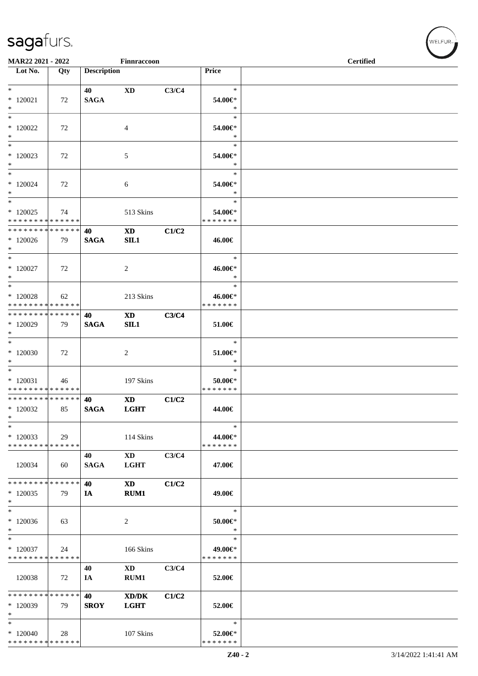| MAR22 2021 - 2022                                             |     |                    | $\ensuremath{\mathsf{Finnracoon}}$                         |       |                                        | <b>Certified</b> |  |  |  |  |
|---------------------------------------------------------------|-----|--------------------|------------------------------------------------------------|-------|----------------------------------------|------------------|--|--|--|--|
| Lot No.                                                       | Qty | <b>Description</b> |                                                            |       | Price                                  |                  |  |  |  |  |
| $*$                                                           |     | 40                 | <b>XD</b>                                                  | C3/C4 | $\ast$                                 |                  |  |  |  |  |
| $*120021$<br>$\ast$                                           | 72  | <b>SAGA</b>        |                                                            |       | 54.00€*<br>$\ast$                      |                  |  |  |  |  |
| $*$<br>$*$ 120022<br>$*$                                      | 72  |                    | 4                                                          |       | $\ast$<br>54.00€*<br>$\ast$            |                  |  |  |  |  |
| $\ast$<br>$*120023$<br>$*$                                    | 72  |                    | 5                                                          |       | $\ast$<br>54.00€*<br>$\ast$            |                  |  |  |  |  |
| $*$<br>$*120024$<br>$*$                                       | 72  |                    | 6                                                          |       | $\ast$<br>54.00€*<br>$\ast$            |                  |  |  |  |  |
| $*$<br>$*120025$<br>* * * * * * * * * * * * * *               | 74  |                    | 513 Skins                                                  |       | $\ast$<br>54.00€*<br>* * * * * * *     |                  |  |  |  |  |
| * * * * * * * * * * * * * * *<br>$*120026$<br>$*$             | 79  | 40<br><b>SAGA</b>  | $\mathbf{X}\mathbf{D}$<br>SIL1                             | C1/C2 | 46.00€                                 |                  |  |  |  |  |
| $*$<br>$*$ 120027<br>$*$                                      | 72  |                    | 2                                                          |       | $\ast$<br>46.00€*<br>$\ast$            |                  |  |  |  |  |
| $*$<br>$*120028$<br>* * * * * * * * * * * * * *               | 62  |                    | 213 Skins                                                  |       | $\ast$<br>46.00€*<br>* * * * * * *     |                  |  |  |  |  |
| * * * * * * * * * * * * * * *<br>$*120029$<br>$*$             | 79  | 40<br><b>SAGA</b>  | <b>XD</b><br>SL1                                           | C3/C4 | 51.00€                                 |                  |  |  |  |  |
| $*$<br>$*120030$<br>$*$                                       | 72  |                    | 2                                                          |       | $\ast$<br>51.00€*<br>$\ast$            |                  |  |  |  |  |
| $\overline{\ast}$<br>$*120031$<br>* * * * * * * * * * * * * * | 46  |                    | 197 Skins                                                  |       | $\ast$<br>$50.00 \in$<br>* * * * * * * |                  |  |  |  |  |
| * * * * * * * * * * * * * * *<br>$*120032$<br>$\ast$          | 85  | 40<br><b>SAGA</b>  | <b>XD</b><br><b>LGHT</b>                                   | C1/C2 | 44.00€                                 |                  |  |  |  |  |
| $\ast$<br>$*120033$<br>* * * * * * * * * * * * * *            | 29  |                    | 114 Skins                                                  |       | $\ast$<br>44.00€*<br>* * * * * * *     |                  |  |  |  |  |
| 120034                                                        | 60  | 40<br><b>SAGA</b>  | $\mathbf{X}\mathbf{D}$<br><b>LGHT</b>                      | C3/C4 | 47.00€                                 |                  |  |  |  |  |
| * * * * * * * * * * * * * * *<br>$*120035$<br>$*$             | 79  | 40<br>IA           | <b>XD</b><br>RUM1                                          | C1/C2 | 49.00€                                 |                  |  |  |  |  |
| $*$<br>$*120036$<br>$\ast$                                    | 63  |                    | 2                                                          |       | $\ast$<br>$50.00 \in$ *<br>$\ast$      |                  |  |  |  |  |
| $*$<br>$*120037$<br>* * * * * * * * * * * * * *               | 24  |                    | 166 Skins                                                  |       | $\ast$<br>49.00€*<br>* * * * * * *     |                  |  |  |  |  |
| 120038                                                        | 72  | 40<br>IA           | $\mathbf{X}\mathbf{D}$<br>RUM1                             | C3/C4 | 52.00€                                 |                  |  |  |  |  |
| * * * * * * * * * * * * * *<br>$*120039$<br>$*$               | 79  | 40<br><b>SROY</b>  | $\mathbf{X}\mathbf{D}/\mathbf{D}\mathbf{K}$<br><b>LGHT</b> | C1/C2 | 52.00€                                 |                  |  |  |  |  |
| $\ast$<br>$*120040$<br>* * * * * * * * * * * * * *            | 28  |                    | 107 Skins                                                  |       | $\ast$<br>52.00€*<br>* * * * * * *     |                  |  |  |  |  |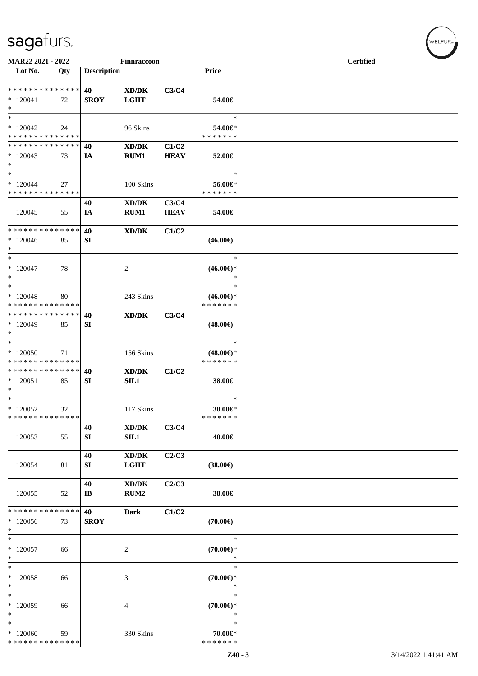| MAR22 2021 - 2022                                  |     |                              | Finnraccoon                                                |                      |                                                | <b>Certified</b> |  |  |  |  |
|----------------------------------------------------|-----|------------------------------|------------------------------------------------------------|----------------------|------------------------------------------------|------------------|--|--|--|--|
| Lot No.                                            | Qty | <b>Description</b>           |                                                            |                      | Price                                          |                  |  |  |  |  |
| * * * * * * * * * * * * * *<br>$*120041$<br>$\ast$ | 72  | 40<br><b>SROY</b>            | $\mathbf{X}\mathbf{D}/\mathbf{D}\mathbf{K}$<br><b>LGHT</b> | C3/C4                | 54.00€                                         |                  |  |  |  |  |
| $\ast$<br>$*120042$<br>* * * * * * * * * * * * * * | 24  |                              | 96 Skins                                                   |                      | $\ast$<br>54.00€*<br>* * * * * * *             |                  |  |  |  |  |
| * * * * * * * * * * * * * *<br>$*120043$<br>$\ast$ | 73  | 40<br><b>IA</b>              | $\boldsymbol{\text{XD/DK}}$<br>RUM1                        | C1/C2<br><b>HEAV</b> | 52.00€                                         |                  |  |  |  |  |
| $\ast$<br>$*120044$<br>* * * * * * * * * * * * * * | 27  |                              | 100 Skins                                                  |                      | $\ast$<br>56.00€*<br>* * * * * * *             |                  |  |  |  |  |
| 120045                                             | 55  | 40<br>IA                     | $\bold{X}\bold{D}/\bold{D}\bold{K}$<br>RUM1                | C3/C4<br><b>HEAV</b> | 54.00€                                         |                  |  |  |  |  |
| * * * * * * * * * * * * * *<br>$*120046$<br>$\ast$ | 85  | 40<br>SI                     | XD/DK                                                      | C1/C2                | $(46.00\epsilon)$                              |                  |  |  |  |  |
| $\ast$<br>$*120047$<br>$\ast$                      | 78  |                              | $\overline{2}$                                             |                      | $\ast$<br>$(46.00\epsilon)$ *<br>$\ast$        |                  |  |  |  |  |
| $\ast$<br>$*120048$<br>* * * * * * * * * * * * * * | 80  |                              | 243 Skins                                                  |                      | $\ast$<br>$(46.00\epsilon)$ *<br>* * * * * * * |                  |  |  |  |  |
| * * * * * * * * * * * * * *<br>$*120049$<br>$\ast$ | 85  | 40<br>SI                     | XD/DK                                                      | C3/C4                | $(48.00\epsilon)$                              |                  |  |  |  |  |
| $\ast$<br>$*120050$<br>* * * * * * * * * * * * * * | 71  |                              | 156 Skins                                                  |                      | $\ast$<br>$(48.00\epsilon)$ *<br>* * * * * * * |                  |  |  |  |  |
| * * * * * * * * * * * * * *<br>$*120051$<br>$\ast$ | 85  | 40<br>SI                     | XD/DK<br>SIL1                                              | C1/C2                | 38.00€                                         |                  |  |  |  |  |
| $\ast$<br>$*120052$<br>* * * * * * * * * * * * * * | 32  |                              | 117 Skins                                                  |                      | $\ast$<br>38.00€*<br>* * * * * * *             |                  |  |  |  |  |
| 120053                                             | 55  | 40<br>${\bf SI}$             | XD/DK<br>SL1                                               | C3/C4                | 40.00€                                         |                  |  |  |  |  |
| 120054                                             | 81  | 40<br>SI                     | $\bold{X}\bold{D}/\bold{D}\bold{K}$<br><b>LGHT</b>         | C2/C3                | $(38.00\epsilon)$                              |                  |  |  |  |  |
| 120055                                             | 52  | 40<br>$\mathbf{I}\mathbf{B}$ | $\bold{X}\bold{D}/\bold{D}\bold{K}$<br>RUM2                | C2/C3                | 38.00€                                         |                  |  |  |  |  |
| * * * * * * * * * * * * * *<br>$*120056$<br>$\ast$ | 73  | 40<br><b>SROY</b>            | <b>Dark</b>                                                | C1/C2                | $(70.00\epsilon)$                              |                  |  |  |  |  |
| $\ast$<br>$*120057$<br>$\ast$                      | 66  |                              | $\overline{2}$                                             |                      | $\ast$<br>$(70.00\epsilon)$ *<br>$\ast$        |                  |  |  |  |  |
| $\ast$<br>$*120058$<br>$\ast$                      | 66  |                              | $\mathfrak{Z}$                                             |                      | $\ast$<br>$(70.00\epsilon)$ *<br>$\ast$        |                  |  |  |  |  |
| $\ast$<br>$*120059$<br>$\ast$<br>$\ast$            | 66  |                              | 4                                                          |                      | $\ast$<br>$(70.00\epsilon)$ *<br>$\ast$        |                  |  |  |  |  |
| $*120060$<br>* * * * * * * * * * * * * *           | 59  |                              | 330 Skins                                                  |                      | $\ast$<br>70.00€*<br>* * * * * * *             |                  |  |  |  |  |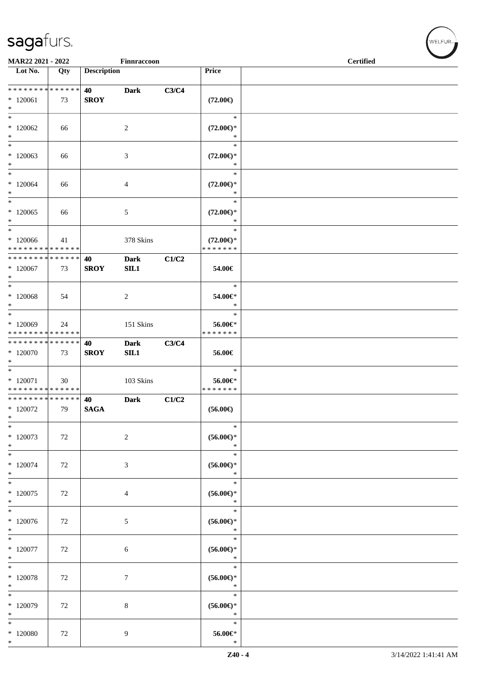| MAR22 2021 - 2022                                      |     |                    | Finnraccoon        |       |                                                    | <b>Certified</b> |
|--------------------------------------------------------|-----|--------------------|--------------------|-------|----------------------------------------------------|------------------|
| Lot No.                                                | Qty | <b>Description</b> |                    |       | Price                                              |                  |
| ******** <mark>******</mark><br>$*120061$<br>$\ast$    | 73  | 40<br><b>SROY</b>  | <b>Dark</b>        | C3/C4 | $(72.00\epsilon)$                                  |                  |
| $\ast$<br>$*120062$<br>$\ast$                          | 66  |                    | $\sqrt{2}$         |       | $\ast$<br>$(72.00\epsilon)$ *<br>$\ast$            |                  |
| $\ast$<br>$*120063$<br>$\ast$                          | 66  |                    | 3                  |       | $\ast$<br>$(72.00\epsilon)$ *<br>$\ast$            |                  |
| $\ast$<br>$*120064$<br>$\ast$                          | 66  |                    | $\overline{4}$     |       | $\ast$<br>$(72.00\epsilon)$ *<br>$\ast$            |                  |
| $\ast$<br>$*120065$<br>$\ast$                          | 66  |                    | 5                  |       | $\ast$<br>$(72.00\epsilon)$ *<br>$\ast$            |                  |
| $\ast$<br>$*120066$<br>* * * * * * * * * * * * * *     | 41  |                    | 378 Skins          |       | $\ast$<br>$(72.00\epsilon)$ *<br>* * * * * * *     |                  |
| * * * * * * * * * * * * * *<br>$*120067$<br>$\ast$     | 73  | 40<br><b>SROY</b>  | <b>Dark</b><br>SL1 | C1/C2 | 54.00€                                             |                  |
| $*$<br>$*120068$<br>$\ast$<br>$\overline{\phantom{0}}$ | 54  |                    | $\overline{c}$     |       | $\ast$<br>54.00€*<br>$\ast$                        |                  |
| * 120069<br>* * * * * * * * * * * * * *                | 24  |                    | 151 Skins          |       | $\ast$<br>56.00€*<br>* * * * * * *                 |                  |
| * * * * * * * * * * * * * *<br>$*120070$<br>$\ast$     | 73  | 40<br><b>SROY</b>  | <b>Dark</b><br>SL1 | C3/C4 | 56.00€                                             |                  |
| $\ast$<br>$*$ 120071<br>* * * * * * * * * * * * * *    | 30  |                    | 103 Skins          |       | $\ast$<br>56.00€*<br>* * * * * * *                 |                  |
| * * * * * * * * * * * * * *<br>$*120072$<br>$\ast$     | 79  | 40<br><b>SAGA</b>  | <b>Dark</b>        | C1/C2 | $(56.00\epsilon)$<br>$\ast$                        |                  |
| $\ast$<br>$*120073$<br>$\ast$                          | 72  |                    | $\boldsymbol{2}$   |       | $(56.00ε)$ *<br>$\ast$                             |                  |
| $\ast$<br>$*120074$<br>$\ast$                          | 72  |                    | $\mathfrak{Z}$     |       | $\ast$<br>$(56.00\epsilon)$ *<br>$\ast$            |                  |
| $*$<br>$*120075$<br>$\ast$<br>$\ast$                   | 72  |                    | 4                  |       | $\ast$<br>$(56.00\mathnormal{\infty})^*$<br>$\ast$ |                  |
| $*120076$<br>$\ast$                                    | 72  |                    | $5\,$              |       | $\ast$<br>$(56.00\mathnormal{\infty})^*$           |                  |
| $\ast$<br>$*$ 120077<br>$\ast$                         | 72  |                    | 6                  |       | $\ast$<br>$(56.00\mathnormal{\infty})^*$<br>$\ast$ |                  |
| $\ast$<br>$*120078$<br>$\ast$                          | 72  |                    | $\tau$             |       | $\ast$<br>$(56.00\mathnormal{\infty})^*$<br>$\ast$ |                  |
| $\ast$<br>$*120079$<br>$\ast$                          | 72  |                    | $\,8\,$            |       | $\ast$<br>$(56.00\mathnormal{\infty})^*$<br>$\ast$ |                  |
| $\ast$<br>$*120080$<br>$\ast$                          | 72  |                    | 9                  |       | $\ast$<br>$56.00 \text{E}^*$<br>$\ast$             |                  |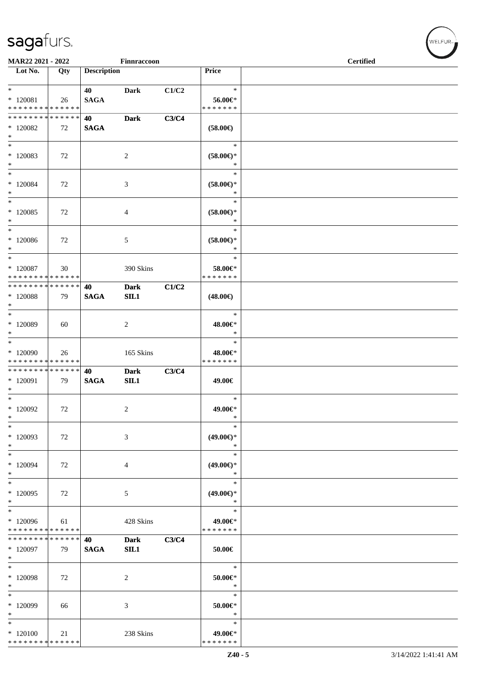| MAR22 2021 - 2022                                                     |     |                    | Finnraccoon         |       |                                                   | <b>Certified</b> |  |
|-----------------------------------------------------------------------|-----|--------------------|---------------------|-------|---------------------------------------------------|------------------|--|
| Lot No.                                                               | Qty | <b>Description</b> |                     |       | Price                                             |                  |  |
| $*$<br>$*120081$                                                      | 26  | 40<br><b>SAGA</b>  | <b>Dark</b>         | C1/C2 | $\ast$<br>56.00€*                                 |                  |  |
| * * * * * * * * <mark>* * * * * * *</mark>                            |     |                    |                     |       | * * * * * * *                                     |                  |  |
| * * * * * * * * * * * * * *                                           |     | 40                 | <b>Dark</b>         | C3/C4 |                                                   |                  |  |
| $*120082$<br>$\ast$                                                   | 72  | <b>SAGA</b>        |                     |       | $(58.00\epsilon)$                                 |                  |  |
| $\ast$<br>$*120083$<br>$\ast$                                         | 72  |                    | $\sqrt{2}$          |       | $\ast$<br>$(58.00\epsilon)$ *<br>$\ast$           |                  |  |
| $\ast$<br>$*120084$<br>$\ast$<br>$\overline{\phantom{a}}$             | 72  |                    | $\mathfrak{Z}$      |       | $\ast$<br>$(58.00\epsilon)$ *<br>$\ast$<br>$\ast$ |                  |  |
| $*120085$<br>$\ast$                                                   | 72  |                    | 4                   |       | $(58.00\epsilon)$ *<br>$\ast$                     |                  |  |
| $\ast$<br>$*120086$<br>$\ast$                                         | 72  |                    | $\sqrt{5}$          |       | $\ast$<br>$(58.00\epsilon)$ *<br>$\ast$           |                  |  |
| $\ast$<br>$*120087$<br>* * * * * * * * <mark>* * * * * * *</mark>     | 30  |                    | 390 Skins           |       | $\ast$<br>58.00€*<br>* * * * * * *                |                  |  |
| * * * * * * * * * * * * * *<br>$*120088$<br>$\ast$                    | 79  | 40<br><b>SAGA</b>  | <b>Dark</b><br>SL1  | C1/C2 | $(48.00\epsilon)$                                 |                  |  |
| $*$<br>* 120089<br>$\ast$                                             | 60  |                    | $\overline{c}$      |       | $\ast$<br>48.00€*<br>$\ast$                       |                  |  |
| $\overline{\phantom{a}^*}$<br>* 120090<br>* * * * * * * * * * * * * * | 26  |                    | 165 Skins           |       | $\ast$<br>48.00€*<br>* * * * * * *                |                  |  |
| * * * * * * * * * * * * * *<br>$*120091$<br>$\ast$                    | 79  | 40<br><b>SAGA</b>  | <b>Dark</b><br>SL1  | C3/C4 | 49.00€                                            |                  |  |
| $*$<br>$*120092$<br>$\ast$                                            | 72  |                    | 2                   |       | $\ast$<br>49.00€*<br>$\ast$                       |                  |  |
| $\ast$<br>* 120093<br>$\ast$                                          | 72  |                    | 3                   |       | $\ast$<br>$(49.00\epsilon)$ *<br>$\ast$           |                  |  |
| $\ast$<br>* 120094<br>$\ast$                                          | 72  |                    | 4                   |       | $\ast$<br>$(49.00\epsilon)$ *<br>$\ast$           |                  |  |
| $\ast$<br>$*120095$<br>$\ast$                                         | 72  |                    | 5                   |       | $\ast$<br>$(49.00\epsilon)$ *<br>$\ast$           |                  |  |
| $\ast$<br>$*120096$<br>* * * * * * * * * * * * * *                    | 61  |                    | 428 Skins           |       | $\ast$<br>49.00€*<br>* * * * * * *                |                  |  |
| * * * * * * * * * * * * * *<br>$*120097$<br>$\ast$                    | 79  | 40<br><b>SAGA</b>  | <b>Dark</b><br>SIL1 | C3/C4 | 50.00€                                            |                  |  |
| $\ast$<br>$*120098$<br>$\ast$                                         | 72  |                    | 2                   |       | $\ast$<br>50.00€*<br>$\ast$                       |                  |  |
| $\ast$<br>* 120099<br>$\ast$                                          | 66  |                    | 3                   |       | $\ast$<br>$50.00 \in$ *<br>$\ast$                 |                  |  |
| $\ast$<br>$*120100$<br>* * * * * * * * * * * * * *                    | 21  |                    | 238 Skins           |       | $\ast$<br>49.00€*<br>* * * * * * *                |                  |  |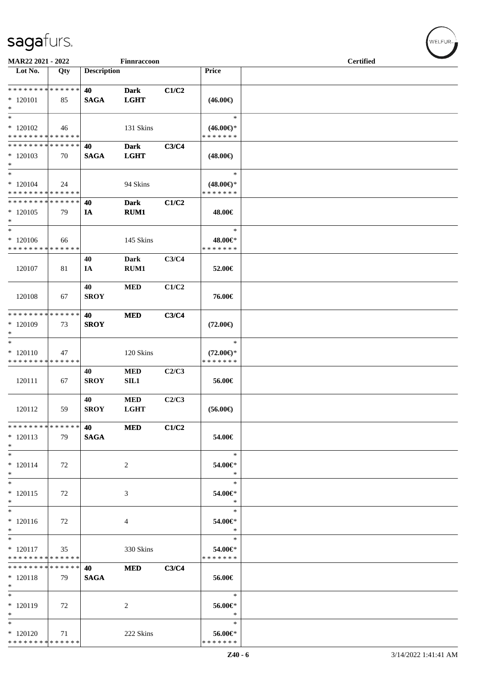| MAR22 2021 - 2022           |     |                    | Finnraccoon |       |                     | <b>Certified</b> |  |  |  |  |
|-----------------------------|-----|--------------------|-------------|-------|---------------------|------------------|--|--|--|--|
| Lot No.                     | Qty | <b>Description</b> |             |       | Price               |                  |  |  |  |  |
|                             |     |                    |             |       |                     |                  |  |  |  |  |
| **************              |     | 40                 | <b>Dark</b> | C1/C2 |                     |                  |  |  |  |  |
| $*120101$                   | 85  | <b>SAGA</b>        | <b>LGHT</b> |       | $(46.00\epsilon)$   |                  |  |  |  |  |
| $\ast$                      |     |                    |             |       |                     |                  |  |  |  |  |
| $\ast$                      |     |                    |             |       | $\ast$              |                  |  |  |  |  |
| $*120102$                   | 46  |                    | 131 Skins   |       | $(46.00\epsilon)$ * |                  |  |  |  |  |
| * * * * * * * * * * * * * * |     |                    |             |       | * * * * * * *       |                  |  |  |  |  |
| * * * * * * * * * * * * * * |     | 40                 | <b>Dark</b> | C3/C4 |                     |                  |  |  |  |  |
| $*120103$<br>$\ast$         | 70  | <b>SAGA</b>        | <b>LGHT</b> |       | $(48.00\epsilon)$   |                  |  |  |  |  |
| $\ast$                      |     |                    |             |       | $\ast$              |                  |  |  |  |  |
| $*120104$                   | 24  |                    | 94 Skins    |       | $(48.00\epsilon)$ * |                  |  |  |  |  |
| * * * * * * * * * * * * * * |     |                    |             |       | * * * * * * *       |                  |  |  |  |  |
| * * * * * * * * * * * * * * |     | 40                 | <b>Dark</b> | C1/C2 |                     |                  |  |  |  |  |
| $*120105$                   | 79  | IA                 | RUM1        |       | 48.00€              |                  |  |  |  |  |
| $\ast$                      |     |                    |             |       |                     |                  |  |  |  |  |
| $\ast$                      |     |                    |             |       | $\ast$              |                  |  |  |  |  |
| $*120106$                   | 66  |                    | 145 Skins   |       | 48.00€*             |                  |  |  |  |  |
| * * * * * * * * * * * * * * |     |                    |             |       | * * * * * * *       |                  |  |  |  |  |
|                             |     | 40                 | <b>Dark</b> | C3/C4 |                     |                  |  |  |  |  |
| 120107                      | 81  | IA                 | RUM1        |       | 52.00€              |                  |  |  |  |  |
|                             |     | 40                 | <b>MED</b>  | C1/C2 |                     |                  |  |  |  |  |
| 120108                      | 67  | <b>SROY</b>        |             |       | 76.00€              |                  |  |  |  |  |
|                             |     |                    |             |       |                     |                  |  |  |  |  |
| * * * * * * * * * * * * * * |     | 40                 | <b>MED</b>  | C3/C4 |                     |                  |  |  |  |  |
| * 120109                    | 73  | <b>SROY</b>        |             |       | $(72.00\epsilon)$   |                  |  |  |  |  |
| $\ast$                      |     |                    |             |       |                     |                  |  |  |  |  |
| $\ast$                      |     |                    |             |       | $\ast$              |                  |  |  |  |  |
| $*120110$                   | 47  |                    | 120 Skins   |       | $(72.00\epsilon)$ * |                  |  |  |  |  |
| * * * * * * * * * * * * * * |     |                    |             |       | * * * * * * *       |                  |  |  |  |  |
| 120111                      |     | 40                 | <b>MED</b>  | C2/C3 |                     |                  |  |  |  |  |
|                             | 67  | <b>SROY</b>        | <b>SIL1</b> |       | 56.00€              |                  |  |  |  |  |
|                             |     | 40                 | $\bf MED$   | C2/C3 |                     |                  |  |  |  |  |
| 120112                      | 59  | <b>SROY</b>        | <b>LGHT</b> |       | $(56.00\epsilon)$   |                  |  |  |  |  |
|                             |     |                    |             |       |                     |                  |  |  |  |  |
| * * * * * * * * * * * * * * |     | 40                 | <b>MED</b>  | C1/C2 |                     |                  |  |  |  |  |
| $*120113$                   | 79  | <b>SAGA</b>        |             |       | 54.00€              |                  |  |  |  |  |
| $\ast$                      |     |                    |             |       |                     |                  |  |  |  |  |
| $\ast$                      |     |                    |             |       | $\ast$              |                  |  |  |  |  |
| $* 120114$                  | 72  |                    | 2           |       | 54.00€*             |                  |  |  |  |  |
| $\ast$<br>$*$               |     |                    |             |       | $\ast$<br>$\ast$    |                  |  |  |  |  |
| $*120115$                   | 72  |                    | 3           |       | 54.00€*             |                  |  |  |  |  |
| $\ast$                      |     |                    |             |       | $\ast$              |                  |  |  |  |  |
| $*$                         |     |                    |             |       | $\ast$              |                  |  |  |  |  |
| $*120116$                   | 72  |                    | 4           |       | 54.00€*             |                  |  |  |  |  |
| $\ast$                      |     |                    |             |       | $\ast$              |                  |  |  |  |  |
| $\overline{\phantom{0}}$    |     |                    |             |       | $\ast$              |                  |  |  |  |  |
| $* 120117$                  | 35  |                    | 330 Skins   |       | 54.00€*             |                  |  |  |  |  |
| * * * * * * * * * * * * * * |     |                    |             |       | * * * * * * *       |                  |  |  |  |  |
| * * * * * * * * * * * * * * |     | 40                 | <b>MED</b>  | C3/C4 |                     |                  |  |  |  |  |
| $* 120118$<br>$*$           | 79  | <b>SAGA</b>        |             |       | 56.00€              |                  |  |  |  |  |
| $\ast$                      |     |                    |             |       | $\ast$              |                  |  |  |  |  |
| $*120119$                   | 72  |                    | 2           |       | 56.00€*             |                  |  |  |  |  |
| $\ast$                      |     |                    |             |       | $\ast$              |                  |  |  |  |  |
| $\ast$                      |     |                    |             |       | $\ast$              |                  |  |  |  |  |
| $*120120$                   | 71  |                    | 222 Skins   |       | 56.00€*             |                  |  |  |  |  |
| * * * * * * * * * * * * * * |     |                    |             |       | * * * * * * *       |                  |  |  |  |  |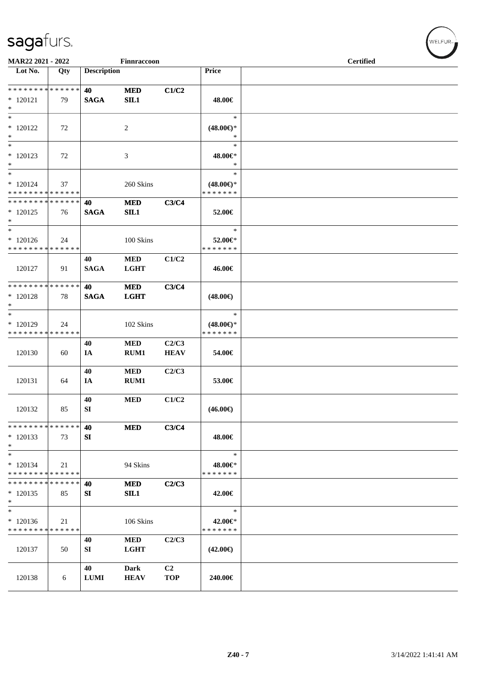| MAR22 2021 - 2022                                    |     |                    | Finnraccoon                |                              |                                                | <b>Certified</b> |  |  |  |  |
|------------------------------------------------------|-----|--------------------|----------------------------|------------------------------|------------------------------------------------|------------------|--|--|--|--|
| Lot No.                                              | Qty | <b>Description</b> |                            |                              | Price                                          |                  |  |  |  |  |
| ******** <mark>******</mark><br>$*$ 120121<br>$\ast$ | 79  | 40<br><b>SAGA</b>  | <b>MED</b><br>SL1          | C1/C2                        | 48.00€                                         |                  |  |  |  |  |
| $\ast$<br>$*120122$<br>$\ast$                        | 72  |                    | $\overline{c}$             |                              | $\ast$<br>$(48.00\epsilon)$ *<br>$\ast$        |                  |  |  |  |  |
| $\ast$<br>* 120123<br>$\ast$                         | 72  |                    | 3                          |                              | $\ast$<br>48.00€*<br>$\ast$                    |                  |  |  |  |  |
| $\ast$<br>$*120124$<br>* * * * * * * * * * * * * *   | 37  |                    | 260 Skins                  |                              | $\ast$<br>$(48.00\epsilon)$ *<br>* * * * * * * |                  |  |  |  |  |
| * * * * * * * * * * * * * *<br>$*120125$<br>$*$      | 76  | 40<br><b>SAGA</b>  | $\bf MED$<br>SL1           | C3/C4                        | 52.00€                                         |                  |  |  |  |  |
| $\ast$<br>$*120126$<br>* * * * * * * * * * * * * *   | 24  |                    | 100 Skins                  |                              | $\ast$<br>52.00€*<br>* * * * * * *             |                  |  |  |  |  |
| 120127                                               | 91  | 40<br><b>SAGA</b>  | <b>MED</b><br><b>LGHT</b>  | C1/C2                        | 46.00€                                         |                  |  |  |  |  |
| * * * * * * * * * * * * * *<br>$*120128$<br>$\ast$   | 78  | 40<br><b>SAGA</b>  | <b>MED</b><br><b>LGHT</b>  | C3/C4                        | $(48.00\epsilon)$                              |                  |  |  |  |  |
| $*$<br>* 120129<br>* * * * * * * * * * * * * *       | 24  |                    | 102 Skins                  |                              | $\ast$<br>$(48.00\epsilon)$ *<br>* * * * * * * |                  |  |  |  |  |
| 120130                                               | 60  | 40<br>IA           | <b>MED</b><br>RUM1         | C2/C3<br><b>HEAV</b>         | 54.00€                                         |                  |  |  |  |  |
| 120131                                               | 64  | 40<br>IA           | <b>MED</b><br>RUM1         | C2/C3                        | 53.00€                                         |                  |  |  |  |  |
| 120132                                               | 85  | 40<br>SI           | $\bf MED$                  | C1/C2                        | $(46.00\epsilon)$                              |                  |  |  |  |  |
| * * * * * * * * * * * * * *<br>$*120133$<br>$\ast$   | 73  | 40<br>SI           | <b>MED</b>                 | C3/C4                        | 48.00€                                         |                  |  |  |  |  |
| $\ast$<br>$*120134$<br>* * * * * * * * * * * * * *   | 21  |                    | 94 Skins                   |                              | $\ast$<br>48.00€*<br>* * * * * * *             |                  |  |  |  |  |
| * * * * * * * * * * * * * *<br>$*120135$<br>$\ast$   | 85  | 40<br>SI           | <b>MED</b><br>SL1          | C2/C3                        | 42.00€                                         |                  |  |  |  |  |
| $\ast$<br>$*120136$<br>* * * * * * * * * * * * * *   | 21  |                    | 106 Skins                  |                              | $\ast$<br>42.00€*<br>* * * * * * *             |                  |  |  |  |  |
| 120137                                               | 50  | 40<br>SI           | <b>MED</b><br><b>LGHT</b>  | C2/C3                        | $(42.00\epsilon)$                              |                  |  |  |  |  |
| 120138                                               | 6   | 40<br>${\bf LUMI}$ | <b>Dark</b><br><b>HEAV</b> | C <sub>2</sub><br><b>TOP</b> | 240.00€                                        |                  |  |  |  |  |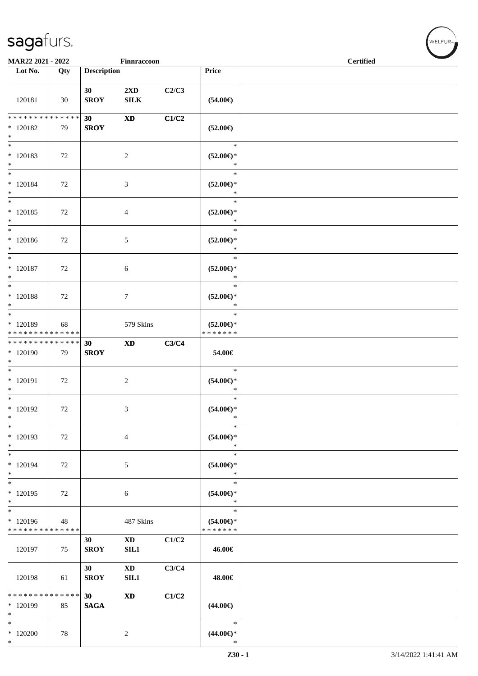|                                                           | MAR22 2021 - 2022<br>Finnraccoon |                    |                                         |       |                                                | <b>Certified</b> |  |  |  |
|-----------------------------------------------------------|----------------------------------|--------------------|-----------------------------------------|-------|------------------------------------------------|------------------|--|--|--|
| Lot No.                                                   | Qty                              | <b>Description</b> |                                         |       | Price                                          |                  |  |  |  |
| 120181                                                    | 30                               | 30<br><b>SROY</b>  | $2\mathbf{X}\mathbf{D}$<br>${\bf SILK}$ | C2/C3 | $(54.00\epsilon)$                              |                  |  |  |  |
| * * * * * * * * * * * * * *<br>$*120182$<br>$\ast$        | 79                               | 30<br><b>SROY</b>  | $\boldsymbol{\mathrm{XD}}$              | C1/C2 | $(52.00\epsilon)$                              |                  |  |  |  |
| $\ast$<br>$* 120183$<br>$*$                               | 72                               |                    | $\sqrt{2}$                              |       | $\ast$<br>$(52.00ε)$ *<br>$\ast$               |                  |  |  |  |
| $*$<br>$* 120184$<br>$*$                                  | 72                               |                    | $\ensuremath{\mathfrak{Z}}$             |       | $\ast$<br>$(52.00\epsilon)$ *<br>$\ast$        |                  |  |  |  |
| $*$<br>$*120185$<br>$*$                                   | 72                               |                    | $\overline{4}$                          |       | $\ast$<br>$(52.00\epsilon)$ *<br>$\ast$        |                  |  |  |  |
| $\ast$<br>$* 120186$<br>$*$<br>$\overline{\ast}$          | 72                               |                    | $\sqrt{5}$                              |       | $\ast$<br>$(52.00\epsilon)$ *<br>$\ast$        |                  |  |  |  |
| $*$ 120187<br>$*$<br>$\overline{\ast}$                    | 72                               |                    | 6                                       |       | $\ast$<br>$(52.00\epsilon)$ *<br>$\ast$        |                  |  |  |  |
| $*120188$<br>$\ast$<br>$\overline{\phantom{0}}$           | 72                               |                    | $\tau$                                  |       | $\ast$<br>$(52.00\epsilon)$ *<br>$\ast$        |                  |  |  |  |
| $* 120189$<br>* * * * * * * * * * * * * *                 | 68                               |                    | 579 Skins                               |       | $\ast$<br>$(52.00\epsilon)$ *<br>* * * * * * * |                  |  |  |  |
| * * * * * * * * * * * * * *<br>$*120190$<br>$\ast$<br>$*$ | 79                               | 30<br><b>SROY</b>  | $\boldsymbol{\mathrm{XD}}$              | C3/C4 | 54.00€<br>$\ast$                               |                  |  |  |  |
| $* 120191$<br>$*$<br>$\overline{\ast}$                    | 72                               |                    | $\boldsymbol{2}$                        |       | $(54.00ε)$ *<br>$\ast$<br>$\ast$               |                  |  |  |  |
| $*120192$<br>$\ast$<br>$\ast$                             | 72                               |                    | 3                                       |       | $(54.00\epsilon)$ *<br>$\ast$<br>$\ast$        |                  |  |  |  |
| * 120193<br>$\ast$<br>$\ast$                              | 72                               |                    | $\overline{4}$                          |       | $(54.00\epsilon)$ *<br>$\ast$<br>$\ast$        |                  |  |  |  |
| $*120194$<br>$\ast$<br>$\overline{\ast}$                  | 72                               |                    | 5                                       |       | $(54.00ε)$ *<br>$\ast$<br>$\ast$               |                  |  |  |  |
| $*120195$<br>$\ast$<br>$\overline{\phantom{0}}$           | 72                               |                    | 6                                       |       | $(54.00\in)^\ast$<br>$\ast$<br>$\ast$          |                  |  |  |  |
| $*120196$<br>* * * * * * * * * * * * * *                  | 48                               |                    | 487 Skins                               |       | $(54.00ε)$ *<br>* * * * * * *                  |                  |  |  |  |
| 120197                                                    | 75                               | 30<br><b>SROY</b>  | $\mathbf{X}\mathbf{D}$<br>SL1           | C1/C2 | 46.00€                                         |                  |  |  |  |
| 120198                                                    | 61                               | 30<br><b>SROY</b>  | $\mathbf{X}\mathbf{D}$<br>SL1           | C3/C4 | 48.00€                                         |                  |  |  |  |
| ******** <mark>******</mark><br>* 120199<br>$\ast$        | 85                               | 30<br><b>SAGA</b>  | $\boldsymbol{\mathrm{XD}}$              | C1/C2 | $(44.00\epsilon)$                              |                  |  |  |  |
| $\ast$<br>$*120200$<br>$\ast$                             | 78                               |                    | $\sqrt{2}$                              |       | $\ast$<br>$(44.00ε)$ *<br>$\ast$               |                  |  |  |  |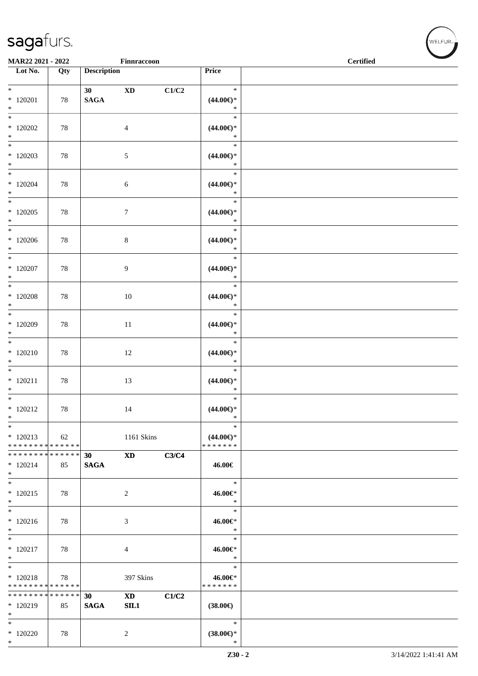|                                                                | MAR22 2021 - 2022<br>Finnraccoon |                    |                               |       |                                                   | <b>Certified</b> |
|----------------------------------------------------------------|----------------------------------|--------------------|-------------------------------|-------|---------------------------------------------------|------------------|
| Lot No.                                                        | Qty                              | <b>Description</b> |                               |       | Price                                             |                  |
| $*$<br>$*120201$<br>$*$                                        | 78                               | 30<br><b>SAGA</b>  | $\mathbf{X}\mathbf{D}$        | C1/C2 | $\ast$<br>$(44.00\epsilon)$ *<br>$\ast$           |                  |
| $\overline{\phantom{0}}$<br>$*120202$<br>$\ast$                | 78                               |                    | $\overline{4}$                |       | $\ast$<br>$(44.00\epsilon)$ *<br>$\ast$           |                  |
| $\overline{\phantom{0}}$<br>$*120203$<br>$*$                   | 78                               |                    | 5                             |       | $\ast$<br>$(44.00\epsilon)$ *<br>$\ast$           |                  |
| $*$<br>$*120204$<br>$*$                                        | 78                               |                    | $\sqrt{6}$                    |       | $\ast$<br>$(44.00ε)$ *<br>$\ast$                  |                  |
| $\overline{\phantom{0}}$<br>$*120205$<br>$*$                   | 78                               |                    | $\boldsymbol{7}$              |       | $\ast$<br>$(44.00\epsilon)$ *<br>$\ast$           |                  |
| $*$<br>$*120206$<br>$*$                                        | 78                               |                    | $\,8\,$                       |       | $\ast$<br>$(44.00\epsilon)$ *<br>$\ast$           |                  |
| $*$<br>$*120207$<br>$\ast$<br>$\overline{\ }$                  | 78                               |                    | 9                             |       | $\ast$<br>$(44.00\epsilon)$ *<br>$\ast$           |                  |
| $*$ 120208<br>$*$                                              | 78                               |                    | $10\,$                        |       | $\ast$<br>$(44.00\epsilon)$ *<br>$\ast$           |                  |
| $*120209$<br>$\ast$                                            | 78                               |                    | 11                            |       | $\ast$<br>$(44.00ε)$ *<br>$\ast$                  |                  |
| $* 120210$<br>$*$<br>$*$                                       | 78                               |                    | $12\,$                        |       | $\ast$<br>$(44.00\epsilon)$ *<br>$\ast$           |                  |
| $* 120211$<br>$*$<br>$*$                                       | 78                               |                    | 13                            |       | $\ast$<br>$(44.00\epsilon)$ *<br>$\ast$<br>$\ast$ |                  |
| $* 120212$<br>$\ast$<br>$\ast$                                 | 78                               |                    | 14                            |       | $(44.00\epsilon)$ *<br>$\ast$<br>$\ast$           |                  |
| $*120213$<br>* * * * * * * * * * * * * * *                     | 62                               |                    | 1161 Skins                    |       | $(44.00\epsilon)$ *<br>* * * * * * *              |                  |
| * * * * * * * * * * * * * * *<br>$*120214$<br>$*$              | 85                               | 30<br><b>SAGA</b>  | <b>XD</b>                     | C3/C4 | 46.00€                                            |                  |
| $*$<br>$*120215$<br>$*$<br>$\overline{\phantom{0}}$            | 78                               |                    | $\overline{2}$                |       | $\ast$<br>46.00€*<br>$\ast$                       |                  |
| $* 120216$<br>$*$<br>$*$                                       | 78                               |                    | 3                             |       | $\ast$<br>46.00€*<br>$\ast$                       |                  |
| $* 120217$<br>$*$                                              | 78                               |                    | 4                             |       | $\ast$<br>46.00€*<br>$\ast$                       |                  |
| $*$<br>$*120218$<br>* * * * * * * * <mark>* * * * * * *</mark> | 78                               |                    | 397 Skins                     |       | $\ast$<br>46.00€*<br>* * * * * * *                |                  |
| * * * * * * * * * * * * * * *<br>$*120219$<br>$*$              | 85                               | 30<br><b>SAGA</b>  | $\mathbf{X}\mathbf{D}$<br>SL1 | C1/C2 | $(38.00\epsilon)$                                 |                  |
| $*$<br>$*120220$<br>$*$                                        | 78                               |                    | 2                             |       | $\ast$<br>$(38.00\epsilon)^\ast$<br>$\ast$        |                  |

 $(w$ ELFUR<sub><sup>n</sub></sub></sub></sup>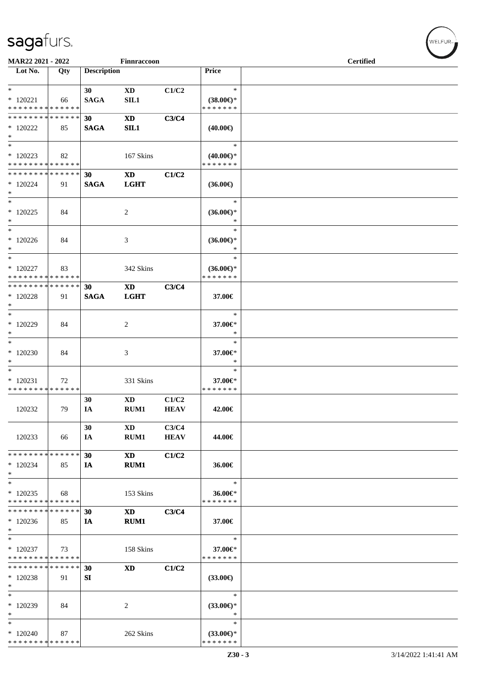| MAR22 2021 - 2022             |     |                    | Finnraccoon            |             |                     | <b>Certified</b> |  |
|-------------------------------|-----|--------------------|------------------------|-------------|---------------------|------------------|--|
|                               |     |                    |                        |             |                     |                  |  |
| Lot No.                       | Qty | <b>Description</b> |                        |             | Price               |                  |  |
|                               |     |                    |                        |             |                     |                  |  |
| $*$                           |     | 30                 | $\mathbf{X}\mathbf{D}$ | C1/C2       | $\ast$              |                  |  |
| $*120221$                     | 66  | <b>SAGA</b>        | SIL1                   |             | $(38.00\epsilon)$ * |                  |  |
| * * * * * * * * * * * * * *   |     |                    |                        |             | * * * * * * *       |                  |  |
| * * * * * * * * * * * * * *   |     | 30                 | $\mathbf{X}\mathbf{D}$ | C3/C4       |                     |                  |  |
| $*120222$                     | 85  | <b>SAGA</b>        | SL1                    |             | $(40.00\epsilon)$   |                  |  |
| $*$                           |     |                    |                        |             |                     |                  |  |
| $*$                           |     |                    |                        |             | $\ast$              |                  |  |
|                               |     |                    |                        |             |                     |                  |  |
| $*120223$                     | 82  |                    | 167 Skins              |             | $(40.00\epsilon)$ * |                  |  |
| * * * * * * * * * * * * * *   |     |                    |                        |             | * * * * * * *       |                  |  |
| * * * * * * * * * * * * * * * |     | 30                 | <b>XD</b>              | C1/C2       |                     |                  |  |
| * 120224                      | 91  | <b>SAGA</b>        | <b>LGHT</b>            |             | $(36.00\epsilon)$   |                  |  |
| $*$                           |     |                    |                        |             |                     |                  |  |
| $\ast$                        |     |                    |                        |             | $\ast$              |                  |  |
| $*120225$                     | 84  |                    | $\overline{c}$         |             | $(36.00\epsilon)$ * |                  |  |
| $*$                           |     |                    |                        |             | $\ast$              |                  |  |
| $*$                           |     |                    |                        |             | $\ast$              |                  |  |
|                               |     |                    |                        |             |                     |                  |  |
| $*120226$                     | 84  |                    | 3                      |             | $(36.00\epsilon)$ * |                  |  |
| $*$                           |     |                    |                        |             | $\ast$              |                  |  |
| $*$                           |     |                    |                        |             | $\ast$              |                  |  |
| $*$ 120227                    | 83  |                    | 342 Skins              |             | $(36.00\epsilon)$ * |                  |  |
| * * * * * * * * * * * * * *   |     |                    |                        |             | * * * * * * *       |                  |  |
| * * * * * * * * * * * * * *   |     | 30                 | <b>XD</b>              | C3/C4       |                     |                  |  |
| $*$ 120228                    | 91  | <b>SAGA</b>        | <b>LGHT</b>            |             | 37.00€              |                  |  |
| $*$                           |     |                    |                        |             |                     |                  |  |
| $*$                           |     |                    |                        |             | $\ast$              |                  |  |
|                               |     |                    |                        |             |                     |                  |  |
| $*120229$                     | 84  |                    | 2                      |             | 37.00€*             |                  |  |
| $\ast$                        |     |                    |                        |             | $\ast$              |                  |  |
| $*$                           |     |                    |                        |             | $\ast$              |                  |  |
| $*120230$                     | 84  |                    | 3                      |             | 37.00€*             |                  |  |
| $\ast$                        |     |                    |                        |             | $\ast$              |                  |  |
| $_{*}^{-}$                    |     |                    |                        |             | $\ast$              |                  |  |
| $*120231$                     | 72  |                    | 331 Skins              |             | 37.00€*             |                  |  |
| * * * * * * * * * * * * * *   |     |                    |                        |             | * * * * * * *       |                  |  |
|                               |     |                    |                        |             |                     |                  |  |
|                               |     | 30                 | $\mathbf{X}\mathbf{D}$ | C1/C2       |                     |                  |  |
| 120232                        | 79  | IA                 | RUM1                   | <b>HEAV</b> | 42.00€              |                  |  |
|                               |     |                    |                        |             |                     |                  |  |
|                               |     | 30                 | <b>XD</b>              | C3/C4       |                     |                  |  |
| 120233                        | 66  | IA                 | RUM1                   | <b>HEAV</b> | 44.00€              |                  |  |
|                               |     |                    |                        |             |                     |                  |  |
| * * * * * * * * * * * * * *   |     | 30                 | <b>XD</b>              | C1/C2       |                     |                  |  |
| $*120234$                     | 85  | IA                 | RUM1                   |             | 36.00€              |                  |  |
| $*$                           |     |                    |                        |             |                     |                  |  |
|                               |     |                    |                        |             | $\ast$              |                  |  |
| $*$                           |     |                    |                        |             |                     |                  |  |
| $*120235$                     | 68  |                    | 153 Skins              |             | 36.00€*             |                  |  |
| * * * * * * * * * * * * * *   |     |                    |                        |             | * * * * * * *       |                  |  |
| * * * * * * * * * * * * * *   |     | 30                 | <b>XD</b>              | C3/C4       |                     |                  |  |
| $*120236$                     | 85  | IA                 | <b>RUM1</b>            |             | 37.00€              |                  |  |
| $\ast$                        |     |                    |                        |             |                     |                  |  |
| $\ast$                        |     |                    |                        |             | $\ast$              |                  |  |
| $*$ 120237                    | 73  |                    | 158 Skins              |             | 37.00€*             |                  |  |
| * * * * * * * * * * * * * *   |     |                    |                        |             | * * * * * * *       |                  |  |
|                               |     |                    |                        |             |                     |                  |  |
| * * * * * * * * * * * * * *   |     | 30                 | <b>XD</b>              | C1/C2       |                     |                  |  |
| $*120238$                     | 91  | SI                 |                        |             | $(33.00\epsilon)$   |                  |  |
| $*$                           |     |                    |                        |             |                     |                  |  |
| $\ast$                        |     |                    |                        |             | $\ast$              |                  |  |
| $*120239$                     | 84  |                    | 2                      |             | $(33.00\epsilon)$ * |                  |  |
| $\ast$                        |     |                    |                        |             | $\ast$              |                  |  |
| $\ast$                        |     |                    |                        |             | $\ast$              |                  |  |
| $*120240$                     | 87  |                    | 262 Skins              |             | $(33.00\epsilon)$ * |                  |  |
| * * * * * * * * * * * * * *   |     |                    |                        |             | * * * * * * *       |                  |  |
|                               |     |                    |                        |             |                     |                  |  |

WELFUR<sub><sup>N</sup></sub>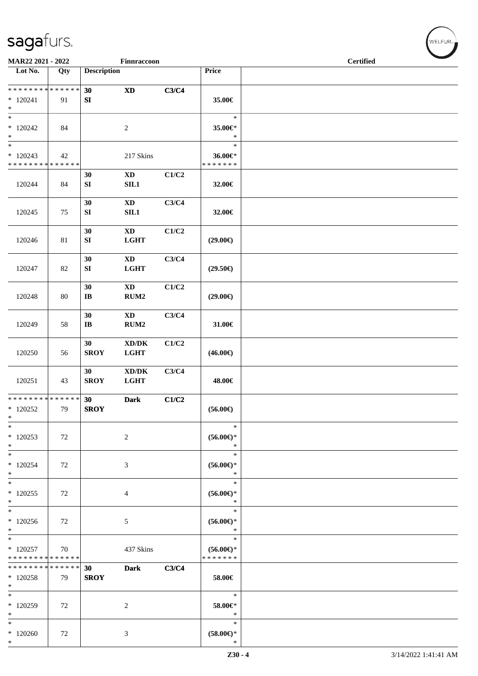| MAR22 2021 - 2022                                        |                   |                              | Finnraccoon                                        |       |                                         | $\overline{\phantom{a}}$<br><b>Certified</b> |  |  |  |  |
|----------------------------------------------------------|-------------------|------------------------------|----------------------------------------------------|-------|-----------------------------------------|----------------------------------------------|--|--|--|--|
| Lot No.                                                  | Qty               | <b>Description</b>           |                                                    |       | Price                                   |                                              |  |  |  |  |
| **************<br>$*120241$<br>$\ast$                    | 91                | 30<br>SI                     | $\boldsymbol{\mathrm{XD}}$                         | C3/C4 | 35.00€                                  |                                              |  |  |  |  |
| $\overline{\phantom{a}^*}$<br>$*120242$<br>$\ast$        | 84                |                              | $\sqrt{2}$                                         |       | $\ast$<br>35.00€*<br>$\ast$             |                                              |  |  |  |  |
| $\overline{\ast}$<br>$*120243$<br>**************         | 42                |                              | 217 Skins                                          |       | $\ast$<br>36.00€*<br>* * * * * * *      |                                              |  |  |  |  |
| 120244                                                   | 84                | 30<br>SI                     | $\mathbf{X}\mathbf{D}$<br>SL1                      | C1/C2 | 32.00€                                  |                                              |  |  |  |  |
| 120245                                                   | 75                | 30<br>${\bf S}{\bf I}$       | $\mathbf{X}\mathbf{D}$<br>SL1                      | C3/C4 | 32.00€                                  |                                              |  |  |  |  |
| 120246                                                   | $81\,$            | 30<br>${\bf S}{\bf I}$       | $\mathbf{X}\mathbf{D}$<br><b>LGHT</b>              | C1/C2 | $(29.00\epsilon)$                       |                                              |  |  |  |  |
| 120247                                                   | 82                | 30<br>${\bf S}{\bf I}$       | $\mathbf{X}\mathbf{D}$<br><b>LGHT</b>              | C3/C4 | $(29.50\epsilon)$                       |                                              |  |  |  |  |
| 120248                                                   | 80                | 30<br>$\mathbf{I}\mathbf{B}$ | $\mathbf{X}\mathbf{D}$<br>RUM2                     | C1/C2 | $(29.00\epsilon)$                       |                                              |  |  |  |  |
| 120249                                                   | 58                | 30<br>$\bf I\bf B$           | <b>XD</b><br>RUM2                                  | C3/C4 | 31.00€                                  |                                              |  |  |  |  |
| 120250                                                   | 56                | 30<br><b>SROY</b>            | $\bold{X}\bold{D}/\bold{D}\bold{K}$<br><b>LGHT</b> | C1/C2 | $(46.00\epsilon)$                       |                                              |  |  |  |  |
| 120251                                                   | 43                | 30<br><b>SROY</b>            | $\bold{X}\bold{D}/\bold{D}\bold{K}$<br><b>LGHT</b> | C3/C4 | 48.00€                                  |                                              |  |  |  |  |
| **************<br>$*120252$<br>$\ast$                    | 79                | 30<br><b>SROY</b>            | <b>Dark</b>                                        | C1/C2 | $(56.00\epsilon)$                       |                                              |  |  |  |  |
| $\ast$<br>$*120253$<br>$\ast$                            | 72                |                              | $\overline{2}$                                     |       | $\ast$<br>$(56.00ε)$ *<br>$\ast$        |                                              |  |  |  |  |
| $\frac{1}{1}$<br>$*120254$<br>$\ast$                     | 72                |                              | 3                                                  |       | $\ast$<br>$(56.00\epsilon)$ *<br>$\ast$ |                                              |  |  |  |  |
| $\ast$<br>$*120255$<br>$\ast$                            | 72                |                              | 4                                                  |       | $\ast$<br>$(56.00\epsilon)$ *<br>$\ast$ |                                              |  |  |  |  |
| $\ast$<br>$*120256$<br>$\ast$                            | 72                |                              | 5                                                  |       | $\ast$<br>$(56.00ε)$ *<br>$\ast$        |                                              |  |  |  |  |
| $\overline{\phantom{0}}$<br>$*120257$<br>* * * * * * * * | 70<br>* * * * * * |                              | 437 Skins                                          |       | $\ast$<br>$(56.00ε)$ *<br>* * * * * * * |                                              |  |  |  |  |
| * * * * * * * * * * * * * *<br>$*120258$<br>$\ast$       | 79                | 30<br><b>SROY</b>            | <b>Dark</b>                                        | C3/C4 | 58.00€                                  |                                              |  |  |  |  |
| $\ast$<br>$*120259$<br>$\ast$                            | 72                |                              | $\overline{c}$                                     |       | $\ast$<br>58.00€*<br>$\ast$             |                                              |  |  |  |  |
| $\frac{1}{1}$<br>$*120260$<br>$\ast$                     | 72                |                              | 3                                                  |       | $\ast$<br>$(58.00\in)^\ast$<br>$\ast$   |                                              |  |  |  |  |

 $(\forall ELFUR_{\text{max}})$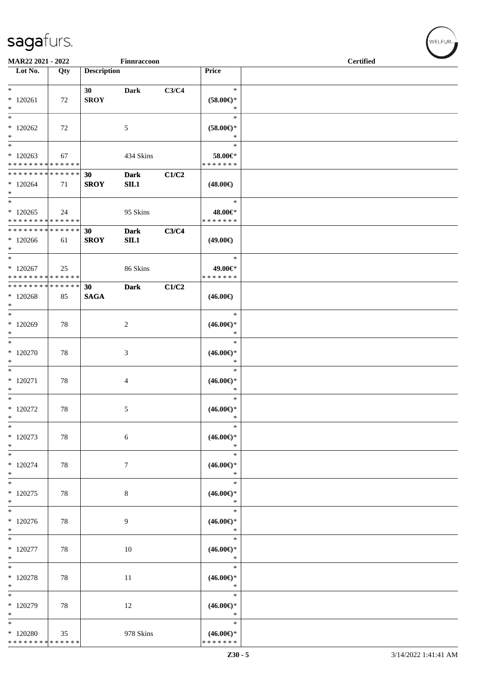| MAR22 2021 - 2022                                  |     |                    | Finnraccoon        |       |                                                | <b>Certified</b> |  |  |  |
|----------------------------------------------------|-----|--------------------|--------------------|-------|------------------------------------------------|------------------|--|--|--|
| Lot No.                                            | Qty | <b>Description</b> |                    |       | Price                                          |                  |  |  |  |
| $\ast$                                             |     | 30                 | <b>Dark</b>        | C3/C4 | $\ast$                                         |                  |  |  |  |
| $*120261$<br>$\ast$                                | 72  | <b>SROY</b>        |                    |       | $(58.00\epsilon)$ *<br>$\ast$                  |                  |  |  |  |
| $\ast$<br>$*120262$<br>$\ast$                      | 72  |                    | 5                  |       | $\ast$<br>$(58.00\epsilon)$ *<br>$\ast$        |                  |  |  |  |
| $\ast$<br>$*120263$<br>* * * * * * * * * * * * * * | 67  |                    | 434 Skins          |       | $\ast$<br>58.00€*<br>* * * * * * *             |                  |  |  |  |
| * * * * * * * * * * * * * *<br>$*120264$<br>$\ast$ | 71  | 30<br><b>SROY</b>  | <b>Dark</b><br>SL1 | C1/C2 | $(48.00\epsilon)$                              |                  |  |  |  |
| $\ast$<br>$*120265$<br>* * * * * * * * * * * * * * | 24  |                    | 95 Skins           |       | $\ast$<br>48.00€*<br>* * * * * * *             |                  |  |  |  |
| * * * * * * * * * * * * * *<br>$*120266$<br>$*$    | 61  | 30<br><b>SROY</b>  | <b>Dark</b><br>SL1 | C3/C4 | $(49.00\epsilon)$                              |                  |  |  |  |
| $\ast$<br>$*120267$<br>* * * * * * * * * * * * * * | 25  |                    | 86 Skins           |       | $\ast$<br>49.00€*<br>* * * * * * *             |                  |  |  |  |
| * * * * * * * * * * * * * *<br>$*120268$<br>$\ast$ | 85  | 30<br><b>SAGA</b>  | <b>Dark</b>        | C1/C2 | $(46.00\epsilon)$                              |                  |  |  |  |
| $*$<br>$*120269$<br>$\ast$                         | 78  |                    | $\overline{2}$     |       | $\ast$<br>$(46.00ε)$ *<br>$\ast$               |                  |  |  |  |
| $\overline{\phantom{a}^*}$<br>$*120270$<br>$\ast$  | 78  |                    | $\mathfrak{Z}$     |       | $\ast$<br>$(46.00\epsilon)$ *<br>$\ast$        |                  |  |  |  |
| $\ast$<br>$*$ 120271<br>$\ast$                     | 78  |                    | $\overline{4}$     |       | $\ast$<br>$(46.00\epsilon)$ *<br>$\ast$        |                  |  |  |  |
| $\ast$<br>$*$ 120272<br>$\ast$                     | 78  |                    | 5                  |       | $\ast$<br>$(46.00\epsilon)$ *<br>$*$           |                  |  |  |  |
| $\ast$<br>$*120273$<br>$\ast$                      | 78  |                    | $\sqrt{6}$         |       | $\ast$<br>$(46.00\epsilon)$ *<br>$\ast$        |                  |  |  |  |
| $\ast$<br>$*120274$<br>$\ast$                      | 78  |                    | $\tau$             |       | $\ast$<br>$(46.00\epsilon)$ *<br>$\ast$        |                  |  |  |  |
| $\ast$<br>$*120275$<br>$\ast$                      | 78  |                    | 8                  |       | $\ast$<br>$(46.00\epsilon)$ *<br>$\ast$        |                  |  |  |  |
| $\overline{\ast}$<br>$*120276$<br>$\ast$           | 78  |                    | 9                  |       | $\ast$<br>$(46.00\epsilon)$ *<br>$\ast$        |                  |  |  |  |
| $\ast$<br>$*$ 120277<br>$\ast$                     | 78  |                    | 10                 |       | $\ast$<br>$(46.00\epsilon)$ *<br>$\ast$        |                  |  |  |  |
| $\ast$<br>$*$ 120278<br>$\ast$                     | 78  |                    | 11                 |       | $\ast$<br>$(46.00\epsilon)$ *<br>$\ast$        |                  |  |  |  |
| $\ast$<br>* 120279<br>$\ast$                       | 78  |                    | 12                 |       | $\ast$<br>$(46.00\epsilon)$ *<br>$\ast$        |                  |  |  |  |
| $\ast$<br>$*120280$<br>* * * * * * * * * * * * * * | 35  |                    | 978 Skins          |       | $\ast$<br>$(46.00\epsilon)$ *<br>* * * * * * * |                  |  |  |  |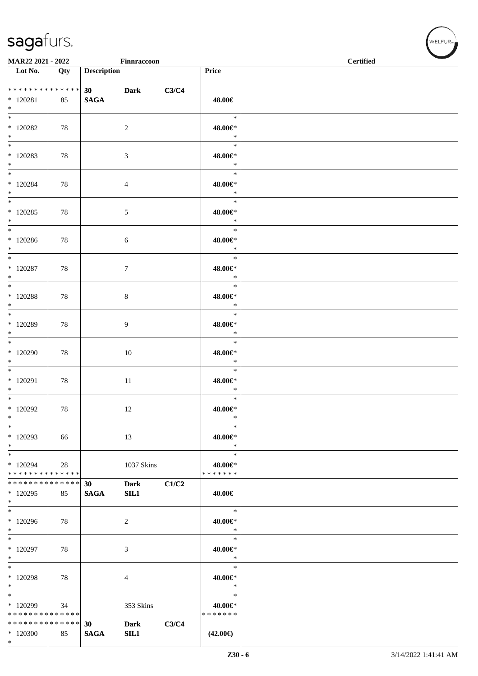\*

|                                                    | MAR22 2021 - 2022<br>Finnraccoon |                        |                     |       |                                    | <b>Certified</b> |
|----------------------------------------------------|----------------------------------|------------------------|---------------------|-------|------------------------------------|------------------|
| $\overline{\phantom{1}}$ Lot No.                   | Qty                              | <b>Description</b>     |                     |       | Price                              |                  |
| **************<br>$*$ 120281<br>$*$                | 85                               | 30 Dark<br><b>SAGA</b> |                     | C3/C4 | 48.00€                             |                  |
| $\overline{\phantom{0}}$<br>$*$ 120282<br>$*$      | 78                               |                        | $\overline{2}$      |       | $\ast$<br>48.00€*<br>$\ast$        |                  |
| $*$<br>$*120283$<br>$*$                            | 78                               |                        | 3                   |       | $\ast$<br>48.00€*<br>$\ast$        |                  |
| $*$ 120284<br>$*$<br>$\overline{\ast}$             | 78                               |                        | $\overline{4}$      |       | $\ast$<br>48.00€*<br>$\ast$        |                  |
| $*120285$<br>$*$                                   | 78                               |                        | $\sqrt{5}$          |       | $\ast$<br>48.00€*<br>$\ast$        |                  |
| $*$<br>$*120286$<br>$*$                            | 78                               |                        | 6                   |       | $\ast$<br>48.00€*<br>$\ast$        |                  |
| $\ast$<br>$*$ 120287<br>$*$                        | 78                               |                        | $\overline{7}$      |       | $\ast$<br>48.00€*<br>$\ast$        |                  |
| $\overline{\phantom{0}}$<br>$*$ 120288<br>$*$      | 78                               |                        | 8                   |       | $\ast$<br>48.00€*<br>$\ast$        |                  |
| $*$<br>$*$ 120289<br>$*$                           | 78                               |                        | 9                   |       | $\ast$<br>48.00€*<br>$\ast$        |                  |
| $*120290$<br>$\ast$                                | 78                               |                        | $10\,$              |       | $\ast$<br>48.00€*<br>$\ast$        |                  |
| $\overline{\phantom{0}}$<br>$*$ 120291<br>$*$      | 78                               |                        | $11\,$              |       | $\ast$<br>48.00€*<br>$\ast$        |                  |
| $*$<br>$*120292$<br>$\ast$                         | 78                               |                        | 12                  |       | $\ast$<br>48.00€*<br>$\ast$        |                  |
| $\ast$<br>* 120293<br>$\ast$                       | 66                               |                        | 13                  |       | $\ast$<br>48.00€*<br>$\ast$        |                  |
| $\ast$<br>* 120294<br>* * * * * * * * * * * * * *  | 28                               |                        | 1037 Skins          |       | $\ast$<br>48.00€*<br>* * * * * * * |                  |
| * * * * * * * * * * * * * *<br>$*120295$<br>$\ast$ | 85                               | 30<br><b>SAGA</b>      | <b>Dark</b><br>SIL1 | C1/C2 | 40.00€                             |                  |
| $*$<br>$*120296$<br>$*$                            | 78                               |                        | 2                   |       | $\ast$<br>40.00€*<br>$\ast$        |                  |
| $\ast$<br>$*$ 120297<br>$\ast$                     | 78                               |                        | $\mathfrak{Z}$      |       | $\ast$<br>40.00€*<br>$\ast$        |                  |
| $\ast$<br>$*$ 120298<br>$\ast$                     | 78                               |                        | 4                   |       | $\ast$<br>40.00€*<br>$\ast$        |                  |
| $\ast$<br>* 120299<br>* * * * * * * * * * * * * *  | 34                               |                        | 353 Skins           |       | $\ast$<br>40.00€*<br>* * * * * * * |                  |
| * * * * * * * * * * * * * *<br>$*120300$           | 85                               | 30<br><b>SAGA</b>      | <b>Dark</b><br>SIL1 | C3/C4 | $(42.00\epsilon)$                  |                  |

 $w$ ELFUR<sub>m</sub>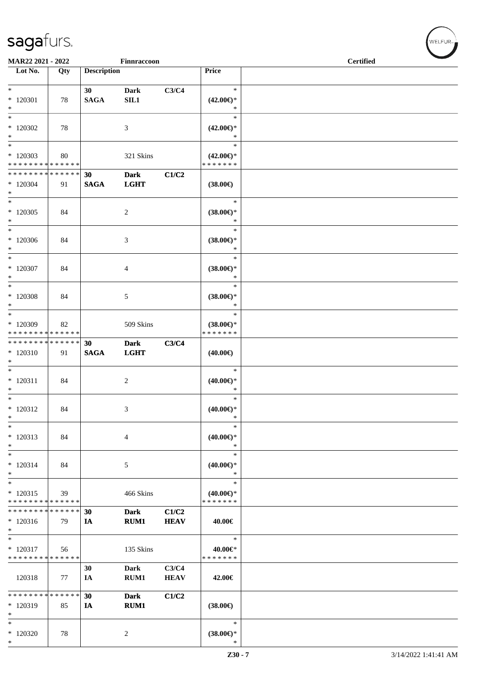| MAR22 2021 - 2022                |     |                    | Finnraccoon    |             |                               | <b>Certified</b> |  |  |
|----------------------------------|-----|--------------------|----------------|-------------|-------------------------------|------------------|--|--|
| $\overline{\phantom{1}}$ Lot No. | Qty | <b>Description</b> |                |             | Price                         |                  |  |  |
|                                  |     |                    |                |             |                               |                  |  |  |
| $*$                              |     | 30                 | <b>Dark</b>    | C3/C4       | $\ast$                        |                  |  |  |
| $*120301$                        | 78  | <b>SAGA</b>        | SIL1           |             | $(42.00\epsilon)$ *           |                  |  |  |
| $*$                              |     |                    |                |             | $\ast$                        |                  |  |  |
| $\overline{\ast}$                |     |                    |                |             | $\ast$                        |                  |  |  |
|                                  |     |                    |                |             |                               |                  |  |  |
| $*120302$                        | 78  |                    | 3              |             | $(42.00\epsilon)$ *           |                  |  |  |
| $\ast$                           |     |                    |                |             | $\ast$                        |                  |  |  |
| $*$                              |     |                    |                |             | $\ast$                        |                  |  |  |
| * 120303                         | 80  |                    | 321 Skins      |             | $(42.00\epsilon)$ *           |                  |  |  |
| * * * * * * * * * * * * * *      |     |                    |                |             | * * * * * * *                 |                  |  |  |
| * * * * * * * * * * * * * * *    |     | 30                 | <b>Dark</b>    | C1/C2       |                               |                  |  |  |
| $*$ 120304                       | 91  | <b>SAGA</b>        | <b>LGHT</b>    |             | $(38.00\in)$                  |                  |  |  |
| $*$                              |     |                    |                |             |                               |                  |  |  |
| $*$                              |     |                    |                |             | $\ast$                        |                  |  |  |
| * 120305                         | 84  |                    | 2              |             | $(38.00\epsilon)$ *           |                  |  |  |
| $*$                              |     |                    |                |             | $\ast$                        |                  |  |  |
| $\ast$                           |     |                    |                |             | $\ast$                        |                  |  |  |
| $*120306$                        | 84  |                    | 3              |             | $(38.00\epsilon)$ *           |                  |  |  |
| $*$                              |     |                    |                |             | $\ast$                        |                  |  |  |
| $*$                              |     |                    |                |             | $\ast$                        |                  |  |  |
| $*$ 120307                       |     |                    |                |             |                               |                  |  |  |
| $*$                              | 84  |                    | 4              |             | $(38.00\epsilon)$ *<br>$\ast$ |                  |  |  |
| $\overline{\ast}$                |     |                    |                |             |                               |                  |  |  |
|                                  |     |                    |                |             | $\ast$                        |                  |  |  |
| $*120308$                        | 84  |                    | 5              |             | $(38.00\epsilon)$ *           |                  |  |  |
| $*$                              |     |                    |                |             | $\ast$                        |                  |  |  |
| $*$                              |     |                    |                |             | $\ast$                        |                  |  |  |
| * 120309                         | 82  |                    | 509 Skins      |             | $(38.00\epsilon)$ *           |                  |  |  |
| * * * * * * * * * * * * * *      |     |                    |                |             | * * * * * * *                 |                  |  |  |
| ******** <mark>******</mark>     |     | 30                 | <b>Dark</b>    | C3/C4       |                               |                  |  |  |
| $*120310$                        | 91  | <b>SAGA</b>        | <b>LGHT</b>    |             | $(40.00\epsilon)$             |                  |  |  |
| $\ast$                           |     |                    |                |             |                               |                  |  |  |
|                                  |     |                    |                |             | $\ast$                        |                  |  |  |
| $* 120311$                       | 84  |                    | 2              |             | $(40.00\epsilon)$ *           |                  |  |  |
| $*$                              |     |                    |                |             | $\ast$                        |                  |  |  |
| $*$                              |     |                    |                |             | $\ast$                        |                  |  |  |
| $* 120312$                       | 84  |                    | 3              |             | $(40.00\epsilon)$ *           |                  |  |  |
| $\ast$                           |     |                    |                |             | $\ast$                        |                  |  |  |
| $\ast$                           |     |                    |                |             | $\ast$                        |                  |  |  |
|                                  |     |                    |                |             |                               |                  |  |  |
| $*120313$                        | 84  |                    | $\overline{4}$ |             | $(40.00\epsilon)$ *           |                  |  |  |
| $\ast$                           |     |                    |                |             | $\ast$                        |                  |  |  |
| $\ast$                           |     |                    |                |             | $\ast$                        |                  |  |  |
| $* 120314$                       | 84  |                    | 5              |             | $(40.00\epsilon)$ *           |                  |  |  |
| $*$                              |     |                    |                |             | $\ast$                        |                  |  |  |
| $*$                              |     |                    |                |             | $\ast$                        |                  |  |  |
| $*120315$                        | 39  |                    | 466 Skins      |             | $(40.00\epsilon)$ *           |                  |  |  |
| * * * * * * * * * * * * * *      |     |                    |                |             | * * * * * * *                 |                  |  |  |
| * * * * * * * * * * * * * *      |     | 30                 | <b>Dark</b>    | C1/C2       |                               |                  |  |  |
| $*120316$                        | 79  | IA                 | <b>RUM1</b>    | <b>HEAV</b> | 40.00€                        |                  |  |  |
| $\ast$                           |     |                    |                |             |                               |                  |  |  |
| $\ast$                           |     |                    |                |             | $\ast$                        |                  |  |  |
| $*$ 120317                       | 56  |                    | 135 Skins      |             | 40.00€*                       |                  |  |  |
| * * * * * * * * * * * * * *      |     |                    |                |             | * * * * * * *                 |                  |  |  |
|                                  |     | 30                 | <b>Dark</b>    | C3/C4       |                               |                  |  |  |
|                                  |     |                    |                |             |                               |                  |  |  |
| 120318                           | 77  | IA                 | RUM1           | <b>HEAV</b> | 42.00€                        |                  |  |  |
|                                  |     |                    |                |             |                               |                  |  |  |
| * * * * * * * * * * * * * *      |     | 30                 | Dark           | C1/C2       |                               |                  |  |  |
| $*120319$                        | 85  | IA                 | RUM1           |             | $(38.00\epsilon)$             |                  |  |  |
| $\ast$                           |     |                    |                |             |                               |                  |  |  |
| $\ast$                           |     |                    |                |             | $\ast$                        |                  |  |  |
| $*120320$                        | 78  |                    | 2              |             | $(38.00\epsilon)$ *           |                  |  |  |
| $*$                              |     |                    |                |             | $\ast$                        |                  |  |  |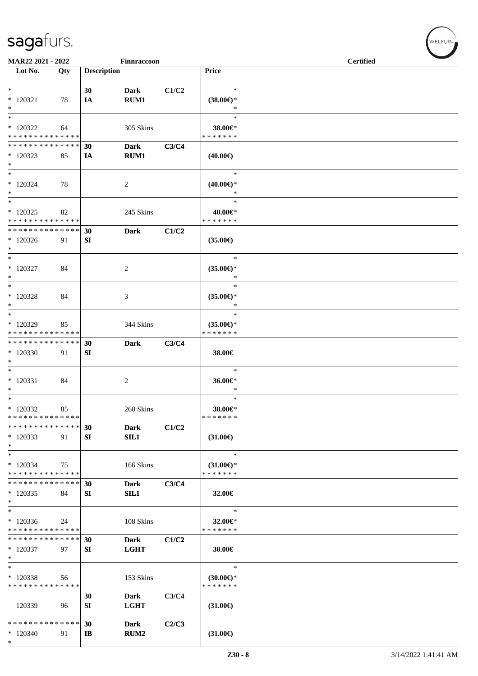| MAR22 2021 - 2022                                                                |     |                    | Finnraccoon                     |       |                                                   | <b>Certified</b> |  |
|----------------------------------------------------------------------------------|-----|--------------------|---------------------------------|-------|---------------------------------------------------|------------------|--|
| Lot No.                                                                          | Qty | <b>Description</b> |                                 |       | Price                                             |                  |  |
| $*$ $-$<br>$*120321$<br>$*$                                                      | 78  | 30<br>IA           | Dark<br>RUM1                    | C1/C2 | $\ast$<br>$(38.00\epsilon)$ *<br>$\ast$           |                  |  |
| $*$<br>* 120322<br>* * * * * * * * * * * * * * *                                 | 64  |                    | 305 Skins                       |       | $\ast$<br>38.00€*<br>* * * * * * *                |                  |  |
| * * * * * * * * * * * * * * *<br>$*120323$<br>$\ast$<br>$\overline{\phantom{0}}$ | 85  | 30<br>IA           | <b>Dark</b><br>RUM1             | C3/C4 | $(40.00\epsilon)$                                 |                  |  |
| * 120324<br>$*$<br>$*$                                                           | 78  |                    | 2                               |       | $\ast$<br>$(40.00\epsilon)$ *<br>$\ast$<br>$\ast$ |                  |  |
| $*120325$<br>* * * * * * * * * * * * * *                                         | 82  |                    | 245 Skins                       |       | 40.00€*<br>* * * * * * *                          |                  |  |
| * * * * * * * * * * * * * * *<br>$*120326$<br>$\ast$                             | 91  | 30<br>SI           | <b>Dark</b>                     | C1/C2 | $(35.00\epsilon)$                                 |                  |  |
| $*$<br>$*120327$<br>$*$                                                          | 84  |                    | 2                               |       | $\ast$<br>$(35.00\epsilon)$ *<br>$\ast$           |                  |  |
| $*$<br>* 120328<br>$*$                                                           | 84  |                    | 3                               |       | $\ast$<br>$(35.00\epsilon)$ *<br>$\ast$           |                  |  |
| $*$<br>* 120329<br>* * * * * * * * * * * * * *                                   | 85  |                    | 344 Skins                       |       | $\ast$<br>$(35.00\epsilon)$ *<br>* * * * * * *    |                  |  |
| * * * * * * * * <mark>* * * * * *</mark><br>$*120330$<br>$*$                     | 91  | 30<br>SI           | <b>Dark</b>                     | C3/C4 | 38.00€                                            |                  |  |
| $*$<br>* 120331<br>$*$                                                           | 84  |                    | 2                               |       | $\ast$<br>36.00€*<br>$\ast$                       |                  |  |
| $*$<br>$*120332$<br>* * * * * * * * * * * * * *                                  | 85  |                    | 260 Skins                       |       | $\ast$<br>38.00€*<br>*******                      |                  |  |
| * * * * * * * * * * * * * *<br>$*120333$<br>$\ast$                               | 91  | 30<br>SI           | <b>Dark</b><br>SIL1             | C1/C2 | $(31.00\epsilon)$                                 |                  |  |
| $\ast$<br>$*120334$<br>* * * * * * * * * * * * * *                               | 75  |                    | 166 Skins                       |       | $\ast$<br>$(31.00\epsilon)$ *<br>* * * * * * *    |                  |  |
| * * * * * * * * * * * * * *<br>$*120335$<br>$\ast$                               | 84  | 30<br>SI           | <b>Dark</b><br>SIL1             | C3/C4 | 32.00€                                            |                  |  |
| $\ast$<br>$*120336$<br>* * * * * * * * * * * * * *                               | 24  |                    | 108 Skins                       |       | $\ast$<br>32.00€*<br>* * * * * * *                |                  |  |
| * * * * * * * * * * * * * *<br>$*120337$<br>$\ast$                               | 97  | 30<br>SI           | <b>Dark</b><br><b>LGHT</b>      | C1/C2 | 30.00€                                            |                  |  |
| $\ast$<br>* 120338<br>* * * * * * * * * * * * * *                                | 56  |                    | 153 Skins                       |       | $\ast$<br>$(30.00\epsilon)$ *<br>* * * * * * *    |                  |  |
| 120339                                                                           | 96  | 30<br>SI           | Dark<br><b>LGHT</b>             | C3/C4 | $(31.00\epsilon)$                                 |                  |  |
| * * * * * * * * * * * * * *<br>$*120340$<br>$\ast$                               | 91  | 30<br>IB           | <b>Dark</b><br>RUM <sub>2</sub> | C2/C3 | $(31.00\epsilon)$                                 |                  |  |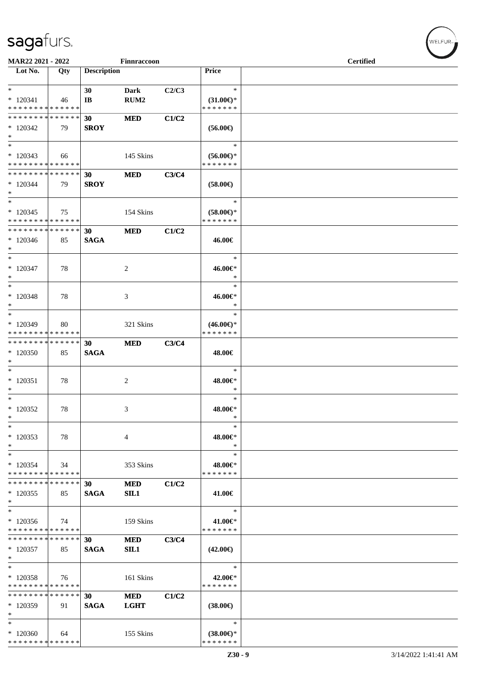| MAR22 2021 - 2022             |             |                       | Finnraccoon      |       |                     | <b>Certified</b> |
|-------------------------------|-------------|-----------------------|------------------|-------|---------------------|------------------|
| Lot No.                       | Qty         | <b>Description</b>    |                  |       | Price               |                  |
|                               |             |                       |                  |       |                     |                  |
| $*$                           |             | 30                    | <b>Dark</b>      | C2/C3 | $\ast$              |                  |
| $*120341$                     | 46          | $\mathbf{I}$ <b>B</b> | RUM <sub>2</sub> |       | $(31.00\epsilon)$ * |                  |
| * * * * * * * * * * * * * *   |             |                       |                  |       | * * * * * * *       |                  |
| * * * * * * * * * * * * * *   |             | 30                    | <b>MED</b>       | C1/C2 |                     |                  |
| $*120342$                     | 79          | <b>SROY</b>           |                  |       | $(56.00\epsilon)$   |                  |
| $*$                           |             |                       |                  |       |                     |                  |
| $*$                           |             |                       |                  |       | $\ast$              |                  |
| $*120343$                     | 66          |                       | 145 Skins        |       | $(56.00ε)$ *        |                  |
| * * * * * * * * * * * * * *   |             |                       |                  |       | * * * * * * *       |                  |
| * * * * * * * * * * * * * * * |             | 30                    | <b>MED</b>       | C3/C4 |                     |                  |
| $*120344$                     | 79          | <b>SROY</b>           |                  |       | $(58.00\epsilon)$   |                  |
| $*$                           |             |                       |                  |       |                     |                  |
| $\ast$                        |             |                       |                  |       | $\ast$              |                  |
| $*120345$                     | 75          |                       | 154 Skins        |       | $(58.00\epsilon)$ * |                  |
| * * * * * * * * * * * * * *   |             |                       |                  |       | * * * * * * *       |                  |
| ******** <mark>******</mark>  |             | 30                    | <b>MED</b>       | C1/C2 |                     |                  |
| $*120346$                     | 85          | <b>SAGA</b>           |                  |       | 46.00€              |                  |
| $*$                           |             |                       |                  |       |                     |                  |
| $*$                           |             |                       |                  |       | $\ast$              |                  |
| $*120347$                     | 78          |                       | 2                |       | 46.00€*             |                  |
| $*$                           |             |                       |                  |       | $\ast$              |                  |
| $*$                           |             |                       |                  |       | $\ast$              |                  |
| $*120348$                     | 78          |                       | 3                |       | 46.00€*             |                  |
| $*$                           |             |                       |                  |       | $\ast$              |                  |
| $*$                           |             |                       |                  |       | $\ast$              |                  |
| * 120349                      | 80          |                       | 321 Skins        |       | $(46.00\epsilon)$ * |                  |
| * * * * * * * * * * * * * *   |             |                       |                  |       | * * * * * * *       |                  |
| * * * * * * * * * * * * * *   |             | 30                    | <b>MED</b>       | C3/C4 |                     |                  |
| $*120350$                     | 85          | <b>SAGA</b>           |                  |       | 48.00€              |                  |
| $*$                           |             |                       |                  |       |                     |                  |
| $*$                           |             |                       |                  |       | $\ast$              |                  |
| $* 120351$                    | 78          |                       | $\overline{c}$   |       | 48.00€*             |                  |
| $*$                           |             |                       |                  |       | $\ast$              |                  |
| $*$                           |             |                       |                  |       | $\ast$              |                  |
| $*120352$                     | 78          |                       | 3                |       | 48.00€*             |                  |
| $\ast$                        |             |                       |                  |       | $\ast$              |                  |
| $\ast$                        |             |                       |                  |       | $\ast$              |                  |
| $*120353$                     | 78          |                       | 4                |       | 48.00€*             |                  |
| $\ast$                        |             |                       |                  |       | ∗                   |                  |
| $\ast$                        |             |                       |                  |       | $\ast$              |                  |
| $*120354$                     | 34          |                       | 353 Skins        |       | 48.00€*             |                  |
| * * * * * * * * * * * * * *   |             |                       |                  |       | * * * * * * *       |                  |
| * * * * * * * * * * * * * *   |             | 30                    | <b>MED</b>       | C1/C2 |                     |                  |
| $*120355$                     | 85          | <b>SAGA</b>           | SIL1             |       | 41.00€              |                  |
| $*$                           |             |                       |                  |       |                     |                  |
| $\ast$                        |             |                       |                  |       | $\ast$              |                  |
| $*120356$                     | 74          |                       | 159 Skins        |       | 41.00€*             |                  |
| * * * * * * * * * * * * * *   |             |                       |                  |       | * * * * * * *       |                  |
| * * * * * * * * * * * * * *   |             | 30                    | $\bf MED$        | C3/C4 |                     |                  |
| $*120357$                     | 85          | <b>SAGA</b>           | SIL1             |       | $(42.00\epsilon)$   |                  |
| $*$                           |             |                       |                  |       |                     |                  |
| $\ast$                        |             |                       |                  |       | $\ast$              |                  |
| $*120358$                     | 76          |                       | 161 Skins        |       | 42.00€*             |                  |
| * * * * * * * * * * * * * *   |             |                       |                  |       | * * * * * * *       |                  |
| * * * * * * * *               | * * * * * * | 30                    | <b>MED</b>       | C1/C2 |                     |                  |
| * 120359                      | 91          | <b>SAGA</b>           | <b>LGHT</b>      |       | $(38.00\epsilon)$   |                  |
| $\ast$                        |             |                       |                  |       |                     |                  |
| $\ast$                        |             |                       |                  |       | $\ast$              |                  |
| $*120360$                     | 64          |                       | 155 Skins        |       | $(38.00€)$ *        |                  |
| * * * * * * * * * * * * * *   |             |                       |                  |       | * * * * * * *       |                  |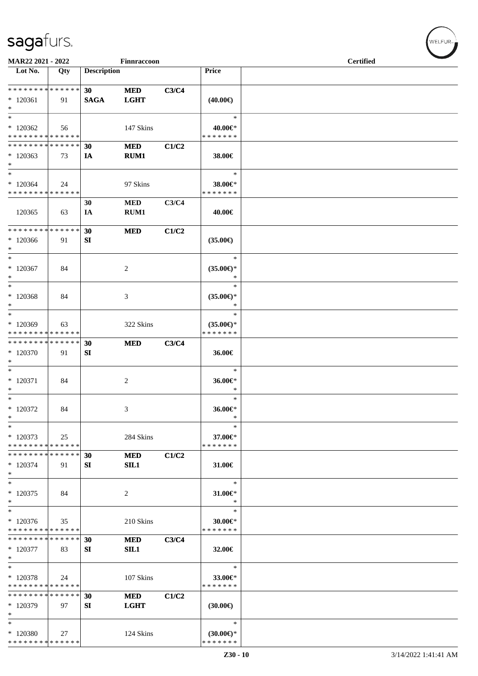| MAR22 2021 - 2022                                  |     |                                | Finnraccoon               |       |                                                | <b>Certified</b> |  |
|----------------------------------------------------|-----|--------------------------------|---------------------------|-------|------------------------------------------------|------------------|--|
| Lot No.                                            | Qty | <b>Description</b>             |                           |       | <b>Price</b>                                   |                  |  |
| * * * * * * * * * * * * * *<br>$*120361$<br>$\ast$ | 91  | 30 <sup>°</sup><br><b>SAGA</b> | <b>MED</b><br><b>LGHT</b> | C3/C4 | $(40.00\epsilon)$                              |                  |  |
| $\ast$<br>$*120362$<br>* * * * * * * * * * * * * * | 56  |                                | 147 Skins                 |       | $\ast$<br>40.00€*<br>* * * * * * *             |                  |  |
| * * * * * * * * * * * * * *<br>$*120363$<br>$\ast$ | 73  | 30<br>IA                       | <b>MED</b><br>RUM1        | C1/C2 | 38.00€                                         |                  |  |
| $\ast$<br>$*120364$<br>* * * * * * * * * * * * * * | 24  |                                | 97 Skins                  |       | $\ast$<br>38.00€*<br>* * * * * * *             |                  |  |
| 120365                                             | 63  | 30<br>IA                       | $\bf MED$<br>RUM1         | C3/C4 | 40.00€                                         |                  |  |
| * * * * * * * * * * * * * *<br>$*120366$<br>$\ast$ | 91  | 30<br>SI                       | <b>MED</b>                | C1/C2 | $(35.00\epsilon)$                              |                  |  |
| $\ast$<br>$*120367$<br>$\ast$                      | 84  |                                | $\overline{c}$            |       | $\ast$<br>$(35.00\epsilon)$ *<br>$\ast$        |                  |  |
| $\ast$<br>$*120368$<br>$\ast$                      | 84  |                                | 3                         |       | $\ast$<br>$(35.00\epsilon)$ *<br>$\ast$        |                  |  |
| $\ast$<br>$*120369$<br>* * * * * * * * * * * * * * | 63  |                                | 322 Skins                 |       | $\ast$<br>$(35.00\epsilon)$ *<br>* * * * * * * |                  |  |
| * * * * * * * * * * * * * *<br>$*120370$<br>$\ast$ | 91  | 30<br>SI                       | <b>MED</b>                | C3/C4 | 36.00€                                         |                  |  |
| $\ast$<br>$*120371$<br>$\ast$                      | 84  |                                | $\overline{2}$            |       | $\ast$<br>36.00€*<br>$\ast$                    |                  |  |
| $\ast$<br>$*$ 120372<br>$\ast$                     | 84  |                                | 3                         |       | $\ast$<br>36.00€*<br>$\ast$                    |                  |  |
| $\ast$<br>$*120373$<br>* * * * * * * * * * * * * * | 25  |                                | 284 Skins                 |       | $\ast$<br>37.00€*<br>* * * * * * *             |                  |  |
| * * * * * * * * * * * * * *<br>$*120374$<br>$\ast$ | 91  | 30<br>SI                       | <b>MED</b><br>SIL1        | C1/C2 | 31.00€                                         |                  |  |
| $\ast$<br>$*120375$<br>$\ast$                      | 84  |                                | 2                         |       | $\ast$<br>31.00€*<br>$\ast$                    |                  |  |
| $\ast$<br>$*120376$<br>* * * * * * * * * * * * * * | 35  |                                | 210 Skins                 |       | $\ast$<br>30.00€*<br>* * * * * * *             |                  |  |
| * * * * * * * * * * * * * *<br>$*120377$<br>$\ast$ | 83  | 30<br>SI                       | <b>MED</b><br>SIL1        | C3/C4 | 32.00€                                         |                  |  |
| $\ast$<br>* 120378<br>* * * * * * * * * * * * * *  | 24  |                                | 107 Skins                 |       | $\ast$<br>33.00€*<br>* * * * * * *             |                  |  |
| * * * * * * * * * * * * * *<br>$*120379$<br>$\ast$ | 97  | 30<br>SI                       | <b>MED</b><br><b>LGHT</b> | C1/C2 | $(30.00\epsilon)$                              |                  |  |
| $\ast$<br>* 120380<br>* * * * * * * * * * * * * *  | 27  |                                | 124 Skins                 |       | $\ast$<br>$(30.00\epsilon)$ *<br>* * * * * * * |                  |  |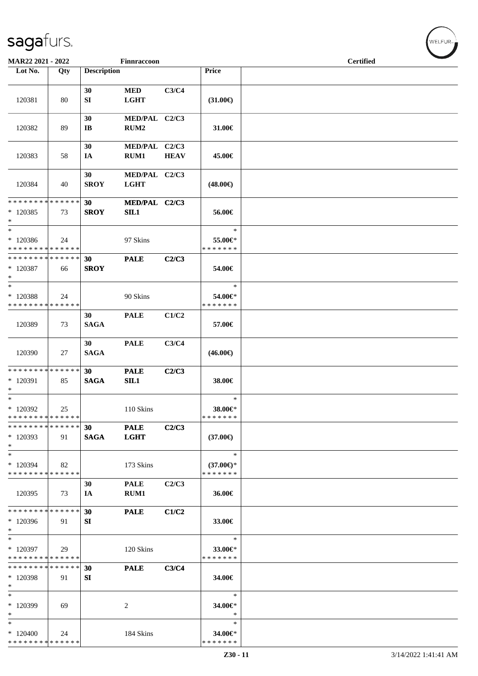| MAR22 2021 - 2022                                                |     |                    | Finnraccoon                       |             |                                                | <b>Certified</b> |
|------------------------------------------------------------------|-----|--------------------|-----------------------------------|-------------|------------------------------------------------|------------------|
| Lot No.                                                          | Qty | <b>Description</b> |                                   |             | Price                                          |                  |
| 120381                                                           | 80  | 30<br>SI           | <b>MED</b><br><b>LGHT</b>         | C3/C4       | $(31.00\epsilon)$                              |                  |
| 120382                                                           | 89  | 30<br>IB           | MED/PAL C2/C3<br>RUM <sub>2</sub> |             | 31.00€                                         |                  |
| 120383                                                           | 58  | 30<br>IA           | MED/PAL C2/C3<br>RUM1             | <b>HEAV</b> | 45.00€                                         |                  |
| 120384                                                           | 40  | 30<br><b>SROY</b>  | MED/PAL C2/C3<br><b>LGHT</b>      |             | $(48.00\epsilon)$                              |                  |
| * * * * * * * * * * * * * *<br>$*120385$<br>$\ast$               | 73  | 30<br><b>SROY</b>  | MED/PAL C2/C3<br>SIL1             |             | 56.00€                                         |                  |
| $\ast$<br>$*120386$<br>* * * * * * * * * * * * * *               | 24  |                    | 97 Skins                          |             | $\ast$<br>55.00€*<br>* * * * * * *             |                  |
| * * * * * * * * * * * * * *<br>$*$ 120387<br>$\ast$              | 66  | 30<br><b>SROY</b>  | <b>PALE</b>                       | C2/C3       | 54.00€                                         |                  |
| $\ast$<br>* 120388<br>* * * * * * * * <mark>* * * * * * *</mark> | 24  |                    | 90 Skins                          |             | $\ast$<br>54.00€*<br>* * * * * * *             |                  |
| 120389                                                           | 73  | 30<br><b>SAGA</b>  | <b>PALE</b>                       | C1/C2       | 57.00€                                         |                  |
| 120390                                                           | 27  | 30<br><b>SAGA</b>  | <b>PALE</b>                       | C3/C4       | $(46.00\epsilon)$                              |                  |
| * * * * * * * * * * * * * *<br>$*$ 120391<br>$\ast$              | 85  | 30<br><b>SAGA</b>  | <b>PALE</b><br>SL1                | C2/C3       | 38.00€                                         |                  |
| $\ast$<br>* 120392<br>* * * * * * * * * * * * * *                | 25  |                    | 110 Skins                         |             | $\ast$<br>38.00€*<br>*******                   |                  |
| * * * * * * * * * * * * * *<br>$*120393$<br>$\ast$               | 91  | 30<br><b>SAGA</b>  | <b>PALE</b><br><b>LGHT</b>        | C2/C3       | $(37.00\epsilon)$                              |                  |
| $\ast$<br>* 120394<br>* * * * * * * * * * * * * *                | 82  |                    | 173 Skins                         |             | $\ast$<br>$(37.00\epsilon)$ *<br>* * * * * * * |                  |
| 120395                                                           | 73  | 30<br>IA           | <b>PALE</b><br>RUM1               | C2/C3       | 36.00€                                         |                  |
| * * * * * * * * * * * * * *<br>$*120396$<br>$\ast$               | 91  | 30<br>SI           | <b>PALE</b>                       | C1/C2       | 33.00€                                         |                  |
| $\ast$<br>* 120397<br>* * * * * * * * * * * * * *                | 29  |                    | 120 Skins                         |             | $\ast$<br>33.00€*<br>* * * * * * *             |                  |
| * * * * * * * * * * * * * *<br>* 120398<br>$\ast$                | 91  | 30<br>SI           | <b>PALE</b>                       | C3/C4       | 34.00€                                         |                  |
| $\ast$<br>* 120399<br>$\ast$                                     | 69  |                    | 2                                 |             | ∗<br>34.00€*<br>∗                              |                  |
| $*$<br>$*120400$<br>* * * * * * * * * * * * * *                  | 24  |                    | 184 Skins                         |             | $\ast$<br>34.00€*<br>* * * * * * *             |                  |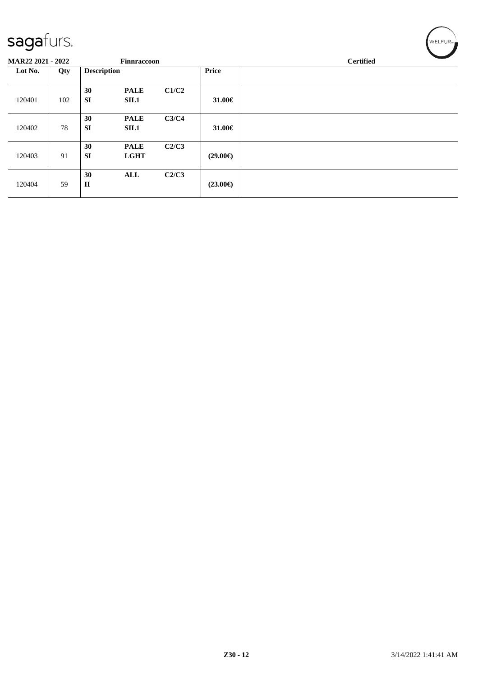| ◡                 |     |                    |                    |       |                   |                  |
|-------------------|-----|--------------------|--------------------|-------|-------------------|------------------|
| MAR22 2021 - 2022 |     |                    | <b>Finnraccoon</b> |       |                   | <b>Certified</b> |
| Lot No.           | Qty | <b>Description</b> |                    |       | <b>Price</b>      |                  |
|                   |     | 30                 | <b>PALE</b>        | C1/C2 |                   |                  |
| 120401            | 102 | <b>SI</b>          | <b>SIL1</b>        |       | 31.00€            |                  |
|                   |     | 30                 | <b>PALE</b>        | C3/C4 |                   |                  |
| 120402            | 78  | <b>SI</b>          | <b>SIL1</b>        |       | 31.00€            |                  |
|                   |     | 30                 | <b>PALE</b>        | C2/C3 |                   |                  |
| 120403            | 91  | <b>SI</b>          | <b>LGHT</b>        |       | $(29.00\epsilon)$ |                  |
|                   |     | 30                 | <b>ALL</b>         | C2/C3 |                   |                  |
| 120404            | 59  | $\mathbf{I}$       |                    |       | $(23.00\epsilon)$ |                  |
|                   |     |                    |                    |       |                   |                  |

 $w$ ELFUR<sub>m</sub>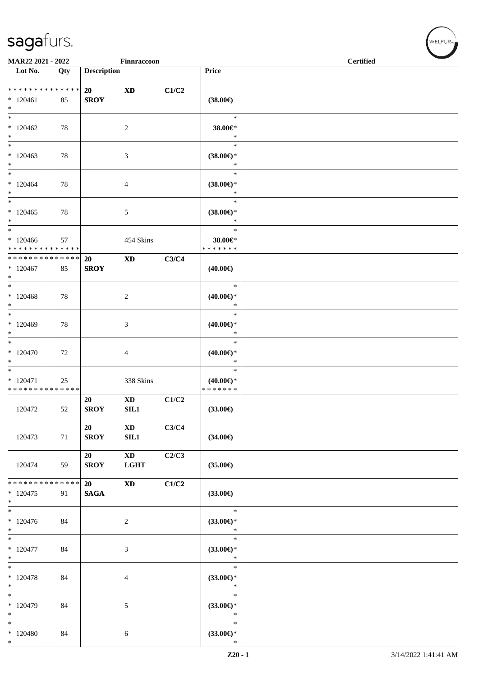|                                                     | MAR22 2021 - 2022<br>Finnraccoon |                    |                                       |       |                                                | <b>Certified</b> |
|-----------------------------------------------------|----------------------------------|--------------------|---------------------------------------|-------|------------------------------------------------|------------------|
| $\overline{\phantom{1}}$ Lot No.                    | Qty                              | <b>Description</b> |                                       |       | Price                                          |                  |
| ******** <mark>******</mark><br>$*120461$<br>$\ast$ | 85                               | 20<br><b>SROY</b>  | $\boldsymbol{\mathrm{XD}}$            | C1/C2 | $(38.00\epsilon)$                              |                  |
| $\ast$<br>$*120462$<br>$\ast$                       | 78                               |                    | $\sqrt{2}$                            |       | $\ast$<br>38.00€*<br>$\ast$                    |                  |
| $\ast$<br>$*120463$<br>$\ast$                       | 78                               |                    | 3                                     |       | $\ast$<br>$(38.00\in)^\ast$<br>$\ast$          |                  |
| $\ast$<br>$*120464$<br>$\ast$                       | $78\,$                           |                    | $\overline{4}$                        |       | $\ast$<br>$(38.00\epsilon)$ *<br>$\ast$        |                  |
| $\ast$<br>$*120465$<br>$\ast$                       | 78                               |                    | $\sqrt{5}$                            |       | $\ast$<br>$(38.00\epsilon)$ *<br>$\ast$        |                  |
| $\ast$<br>$*120466$<br>* * * * * * * * * * * * * *  | 57                               |                    | 454 Skins                             |       | $\ast$<br>38.00€*<br>* * * * * * *             |                  |
| ******** <mark>******</mark><br>$*120467$<br>$\ast$ | 85                               | 20<br><b>SROY</b>  | $\mathbf{X}\mathbf{D}$                | C3/C4 | $(40.00\epsilon)$                              |                  |
| $*$<br>$*120468$<br>$\ast$                          | 78                               |                    | $\overline{c}$                        |       | $\ast$<br>$(40.00\epsilon)$ *<br>$\ast$        |                  |
| $\overline{\phantom{0}}$<br>$*120469$<br>$\ast$     | 78                               |                    | 3                                     |       | $\ast$<br>$(40.00\epsilon)$ *<br>$\ast$        |                  |
| $\ast$<br>$*120470$<br>$\ast$                       | 72                               |                    | $\overline{4}$                        |       | $\ast$<br>$(40.00\epsilon)$ *<br>$\ast$        |                  |
| $\ast$<br>$*120471$<br>* * * * * * * * * * * * * *  | 25                               |                    | 338 Skins                             |       | $\ast$<br>$(40.00\epsilon)$ *<br>* * * * * * * |                  |
| 120472                                              | 52                               | 20<br><b>SROY</b>  | $\mathbf{X}\mathbf{D}$<br>SL1         | C1/C2 | $(33.00\epsilon)$                              |                  |
| 120473                                              | 71                               | 20<br><b>SROY</b>  | $\mathbf{X}\mathbf{D}$<br>SL1         | C3/C4 | $(34.00\epsilon)$                              |                  |
| 120474                                              | 59                               | 20<br><b>SROY</b>  | $\mathbf{X}\mathbf{D}$<br><b>LGHT</b> | C2/C3 | $(35.00\epsilon)$                              |                  |
| * * * * * * * * * * * * * *<br>$*120475$<br>$\ast$  | 91                               | 20<br><b>SAGA</b>  | <b>XD</b>                             | C1/C2 | $(33.00\epsilon)$                              |                  |
| $\ast$<br>$*120476$<br>$\ast$                       | 84                               |                    | $\sqrt{2}$                            |       | $\ast$<br>(33.00)<br>$\ast$                    |                  |
| $\overline{\ast}$<br>$*120477$<br>$\ast$            | 84                               |                    | $\mathfrak{Z}$                        |       | $\ast$<br>$(33.00\epsilon)$ *<br>$\ast$        |                  |
| $\ast$<br>$* 120478$<br>$\ast$                      | 84                               |                    | $\overline{4}$                        |       | $\ast$<br>(33.00)<br>$\ast$                    |                  |
| $\ast$<br>$*120479$<br>$\ast$                       | 84                               |                    | 5                                     |       | $\ast$<br>(33.00)<br>$\ast$                    |                  |
| $\ast$<br>$*120480$<br>$\ast$                       | 84                               |                    | 6                                     |       | $\ast$<br>$(33.00\epsilon)$ *<br>$\ast$        |                  |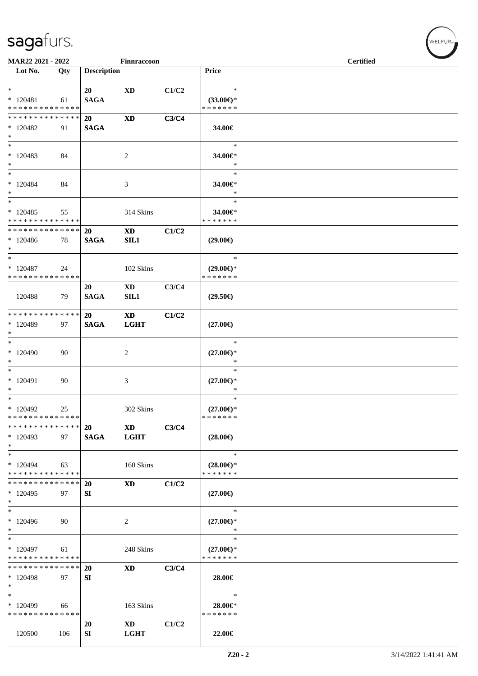|                               | MAR22 2021 - 2022<br>Finnraccoon |                    |                        |       |                     | <b>Certified</b> |  |
|-------------------------------|----------------------------------|--------------------|------------------------|-------|---------------------|------------------|--|
| Lot No.                       | Qty                              | <b>Description</b> |                        |       | Price               |                  |  |
|                               |                                  |                    |                        |       |                     |                  |  |
|                               |                                  |                    |                        |       | $\ast$              |                  |  |
| $*$                           |                                  | 20                 | <b>XD</b>              | C1/C2 |                     |                  |  |
| $* 120481$                    | 61                               | <b>SAGA</b>        |                        |       | $(33.00\epsilon)$ * |                  |  |
| * * * * * * * * * * * * * *   |                                  |                    |                        |       | * * * * * * *       |                  |  |
| ******** <mark>******</mark>  |                                  | 20                 | $\mathbf{X}\mathbf{D}$ | C3/C4 |                     |                  |  |
| $*120482$                     | 91                               | <b>SAGA</b>        |                        |       | 34.00€              |                  |  |
| $*$                           |                                  |                    |                        |       |                     |                  |  |
| $*$                           |                                  |                    |                        |       | $\ast$              |                  |  |
| $*120483$                     | 84                               |                    | 2                      |       | 34.00€*             |                  |  |
| $*$                           |                                  |                    |                        |       | $\ast$              |                  |  |
| $*$                           |                                  |                    |                        |       | $\ast$              |                  |  |
| $*120484$                     | 84                               |                    | 3                      |       | 34.00€*             |                  |  |
| $*$                           |                                  |                    |                        |       | $\ast$              |                  |  |
| $\overline{\ast}$             |                                  |                    |                        |       | $\ast$              |                  |  |
| $*120485$                     | 55                               |                    | 314 Skins              |       | 34.00€*             |                  |  |
| * * * * * * * * * * * * * *   |                                  |                    |                        |       | * * * * * * *       |                  |  |
| * * * * * * * * * * * * * * * |                                  | 20                 | <b>XD</b>              | C1/C2 |                     |                  |  |
| $*120486$                     | 78                               | <b>SAGA</b>        | SL1                    |       | $(29.00\epsilon)$   |                  |  |
| $*$                           |                                  |                    |                        |       |                     |                  |  |
| $*$                           |                                  |                    |                        |       | $\ast$              |                  |  |
| $*120487$                     | 24                               |                    | 102 Skins              |       | $(29.00\epsilon)$ * |                  |  |
| * * * * * * * * * * * * * *   |                                  |                    |                        |       | * * * * * * *       |                  |  |
|                               |                                  | 20                 | $\mathbf{X}\mathbf{D}$ | C3/C4 |                     |                  |  |
| 120488                        | 79                               | <b>SAGA</b>        | SL1                    |       | $(29.50\epsilon)$   |                  |  |
|                               |                                  |                    |                        |       |                     |                  |  |
| * * * * * * * * * * * * * * * |                                  | 20                 | <b>XD</b>              | C1/C2 |                     |                  |  |
| * 120489                      | 97                               | <b>SAGA</b>        | <b>LGHT</b>            |       | $(27.00\epsilon)$   |                  |  |
| $*$                           |                                  |                    |                        |       |                     |                  |  |
| $*$                           |                                  |                    |                        |       | $\ast$              |                  |  |
| * 120490                      | 90                               |                    | 2                      |       | $(27.00\epsilon)$ * |                  |  |
| $\ast$                        |                                  |                    |                        |       | $\ast$              |                  |  |
| $\overline{\phantom{0}}$      |                                  |                    |                        |       | $\ast$              |                  |  |
| $*120491$                     | 90                               |                    | 3                      |       | $(27.00\epsilon)$ * |                  |  |
| $*$                           |                                  |                    |                        |       | $\ast$              |                  |  |
| $*$                           |                                  |                    |                        |       | $\ast$              |                  |  |
| $*120492$                     | 25                               |                    | 302 Skins              |       | $(27.00\epsilon)$ * |                  |  |
| * * * * * * * * * * * * * *   |                                  |                    |                        |       | * * * * * * *       |                  |  |
| * * * * * * * *               | * * * * * *                      | 20                 | <b>XD</b>              | C3/C4 |                     |                  |  |
| $*120493$                     | 97                               | <b>SAGA</b>        | <b>LGHT</b>            |       | $(28.00\epsilon)$   |                  |  |
| $\ast$                        |                                  |                    |                        |       |                     |                  |  |
| $\ast$                        |                                  |                    |                        |       | $\ast$              |                  |  |
| $*120494$                     | 63                               |                    | 160 Skins              |       | $(28.00\epsilon)$ * |                  |  |
| * * * * * * * * * * * * * *   |                                  |                    |                        |       | * * * * * * *       |                  |  |
| * * * * * * * * * * * * * *   |                                  | 20                 | $\mathbf{X}\mathbf{D}$ | C1/C2 |                     |                  |  |
| * 120495                      | 97                               | SI                 |                        |       | $(27.00\epsilon)$   |                  |  |
| $\ast$                        |                                  |                    |                        |       |                     |                  |  |
| $*$                           |                                  |                    |                        |       | $\ast$              |                  |  |
| $*120496$                     | 90                               |                    | 2                      |       | $(27.00\epsilon)$ * |                  |  |
| $*$                           |                                  |                    |                        |       | ∗                   |                  |  |
| $\ast$                        |                                  |                    |                        |       | $\ast$              |                  |  |
| $*120497$                     | 61                               |                    | 248 Skins              |       | $(27.00\epsilon)$ * |                  |  |
| * * * * * * * *               | * * * * * *                      |                    |                        |       | * * * * * * *       |                  |  |
| * * * * * * * *               | ******                           | 20                 | <b>XD</b>              | C3/C4 |                     |                  |  |
| * 120498                      | 97                               | SI                 |                        |       | 28.00€              |                  |  |
| $\ast$                        |                                  |                    |                        |       |                     |                  |  |
| $\ast$                        |                                  |                    |                        |       | $\ast$              |                  |  |
| * 120499                      | 66                               |                    | 163 Skins              |       | 28.00€*             |                  |  |
| * * * * * * * * * * * * * *   |                                  |                    |                        |       | * * * * * * *       |                  |  |
|                               |                                  | 20                 | $\mathbf{X}\mathbf{D}$ | C1/C2 |                     |                  |  |
|                               |                                  | ${\bf SI}$         | <b>LGHT</b>            |       |                     |                  |  |
| 120500                        | 106                              |                    |                        |       | 22.00€              |                  |  |

 $w$ ELFUR-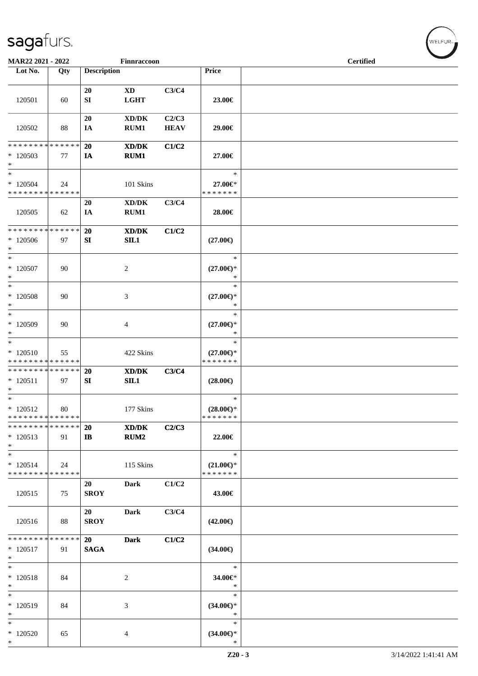| MAR22 2021 - 2022                          |     |                    | Finnraccoon                                                                                          |             |                               | <b>Certified</b> |  |  |  |
|--------------------------------------------|-----|--------------------|------------------------------------------------------------------------------------------------------|-------------|-------------------------------|------------------|--|--|--|
| Lot No.                                    | Qty | <b>Description</b> |                                                                                                      |             | Price                         |                  |  |  |  |
|                                            |     |                    |                                                                                                      |             |                               |                  |  |  |  |
|                                            |     |                    |                                                                                                      |             |                               |                  |  |  |  |
|                                            |     | 20                 | <b>XD</b>                                                                                            | C3/C4       |                               |                  |  |  |  |
| 120501                                     | 60  | SI                 | <b>LGHT</b>                                                                                          |             | 23.00€                        |                  |  |  |  |
|                                            |     |                    |                                                                                                      |             |                               |                  |  |  |  |
|                                            |     | 20                 | $\bold{X}\bold{D}/\bold{D}\bold{K}$                                                                  | C2/C3       |                               |                  |  |  |  |
| 120502                                     | 88  | IA                 | RUM1                                                                                                 | <b>HEAV</b> | 29.00€                        |                  |  |  |  |
| * * * * * * * * * * * * * *                |     | 20                 |                                                                                                      |             |                               |                  |  |  |  |
| $*120503$                                  | 77  | <b>IA</b>          | XD/DK<br>RUM1                                                                                        | C1/C2       | 27.00€                        |                  |  |  |  |
| $\ast$                                     |     |                    |                                                                                                      |             |                               |                  |  |  |  |
| $\ast$                                     |     |                    |                                                                                                      |             | $\ast$                        |                  |  |  |  |
| $*120504$                                  | 24  |                    | 101 Skins                                                                                            |             | 27.00€*                       |                  |  |  |  |
| * * * * * * * * * * * * * *                |     |                    |                                                                                                      |             | * * * * * * *                 |                  |  |  |  |
|                                            |     | 20                 | $\bold{X}\bold{D}/\bold{D}\bold{K}$                                                                  | C3/C4       |                               |                  |  |  |  |
| 120505                                     | 62  | IA                 | RUM1                                                                                                 |             | 28.00€                        |                  |  |  |  |
|                                            |     |                    |                                                                                                      |             |                               |                  |  |  |  |
| * * * * * * * * * * * * * *                |     | 20                 | XD/DK                                                                                                | C1/C2       |                               |                  |  |  |  |
| $*120506$                                  | 97  | SI                 | SL1                                                                                                  |             | $(27.00\epsilon)$             |                  |  |  |  |
| $\ast$                                     |     |                    |                                                                                                      |             |                               |                  |  |  |  |
| $\ast$                                     |     |                    |                                                                                                      |             | $\ast$                        |                  |  |  |  |
| $*$ 120507                                 | 90  |                    | $\overline{c}$                                                                                       |             | $(27.00\epsilon)$ *           |                  |  |  |  |
| $\ast$                                     |     |                    |                                                                                                      |             | $\ast$                        |                  |  |  |  |
| $\ast$                                     |     |                    |                                                                                                      |             | $\ast$                        |                  |  |  |  |
| $*120508$                                  | 90  |                    | 3                                                                                                    |             | $(27.00\epsilon)$ *           |                  |  |  |  |
| $\ast$                                     |     |                    |                                                                                                      |             | $\ast$                        |                  |  |  |  |
| $\ast$                                     |     |                    |                                                                                                      |             | $\ast$                        |                  |  |  |  |
| * 120509                                   | 90  |                    | $\overline{4}$                                                                                       |             | $(27.00\epsilon)$ *           |                  |  |  |  |
| $\ast$                                     |     |                    |                                                                                                      |             | $\ast$                        |                  |  |  |  |
| $\ast$                                     |     |                    |                                                                                                      |             | $\ast$                        |                  |  |  |  |
| $*120510$                                  | 55  |                    | 422 Skins                                                                                            |             | $(27.00\epsilon)$ *           |                  |  |  |  |
| * * * * * * * * * * * * * *                |     |                    |                                                                                                      |             | * * * * * * *                 |                  |  |  |  |
| * * * * * * * * * * * * * *                |     | <b>20</b>          | XD/DK                                                                                                | C3/C4       |                               |                  |  |  |  |
| $* 120511$<br>$\ast$                       | 97  | ${\bf S}{\bf I}$   | SL1                                                                                                  |             | $(28.00\in)$                  |                  |  |  |  |
| $\ast$                                     |     |                    |                                                                                                      |             | $\ast$                        |                  |  |  |  |
| $*120512$                                  | 80  |                    | 177 Skins                                                                                            |             | $(28.00\epsilon)$ *           |                  |  |  |  |
| * * * * * * * * <mark>* * * * * * *</mark> |     |                    |                                                                                                      |             | * * * * * * *                 |                  |  |  |  |
| * * * * * * * * * * * * * *                |     | 20                 | $\boldsymbol{\text{X}}\boldsymbol{\text{D}}\boldsymbol{/}\boldsymbol{\text{D}}\boldsymbol{\text{K}}$ | C2/C3       |                               |                  |  |  |  |
| $*120513$                                  | 91  | $\mathbf{I}$       | RUM2                                                                                                 |             | 22.00€                        |                  |  |  |  |
| $\ast$                                     |     |                    |                                                                                                      |             |                               |                  |  |  |  |
| $\overline{\phantom{a}}$                   |     |                    |                                                                                                      |             | $\ast$                        |                  |  |  |  |
| $*120514$                                  | 24  |                    | 115 Skins                                                                                            |             | $(21.00\epsilon)$ *           |                  |  |  |  |
| * * * * * * * * * * * * * *                |     |                    |                                                                                                      |             | * * * * * * *                 |                  |  |  |  |
|                                            |     | 20                 | <b>Dark</b>                                                                                          | C1/C2       |                               |                  |  |  |  |
| 120515                                     | 75  | <b>SROY</b>        |                                                                                                      |             | 43.00€                        |                  |  |  |  |
|                                            |     |                    |                                                                                                      |             |                               |                  |  |  |  |
|                                            |     | 20                 | <b>Dark</b>                                                                                          | C3/C4       |                               |                  |  |  |  |
| 120516                                     | 88  | <b>SROY</b>        |                                                                                                      |             | $(42.00\epsilon)$             |                  |  |  |  |
|                                            |     |                    |                                                                                                      |             |                               |                  |  |  |  |
| * * * * * * * * * * * * * *                |     | 20                 | <b>Dark</b>                                                                                          | C1/C2       |                               |                  |  |  |  |
| $* 120517$                                 | 91  | <b>SAGA</b>        |                                                                                                      |             | $(34.00\epsilon)$             |                  |  |  |  |
| $\ast$                                     |     |                    |                                                                                                      |             |                               |                  |  |  |  |
| $\ast$                                     |     |                    |                                                                                                      |             | $\ast$                        |                  |  |  |  |
| $* 120518$                                 | 84  |                    | 2                                                                                                    |             | 34.00€*                       |                  |  |  |  |
| $\ast$                                     |     |                    |                                                                                                      |             | $\ast$                        |                  |  |  |  |
| $\ast$                                     |     |                    |                                                                                                      |             | $\ast$                        |                  |  |  |  |
| $*120519$                                  | 84  |                    | $\mathfrak{Z}$                                                                                       |             | $(34.00\epsilon)$ *           |                  |  |  |  |
| $\ast$<br>$\ast$                           |     |                    |                                                                                                      |             | $\ast$<br>$\ast$              |                  |  |  |  |
|                                            |     |                    |                                                                                                      |             |                               |                  |  |  |  |
| $*120520$<br>$\ast$                        | 65  |                    | 4                                                                                                    |             | $(34.00\epsilon)$ *<br>$\ast$ |                  |  |  |  |
|                                            |     |                    |                                                                                                      |             |                               |                  |  |  |  |

√<br>WELFUR<sub>™</sub>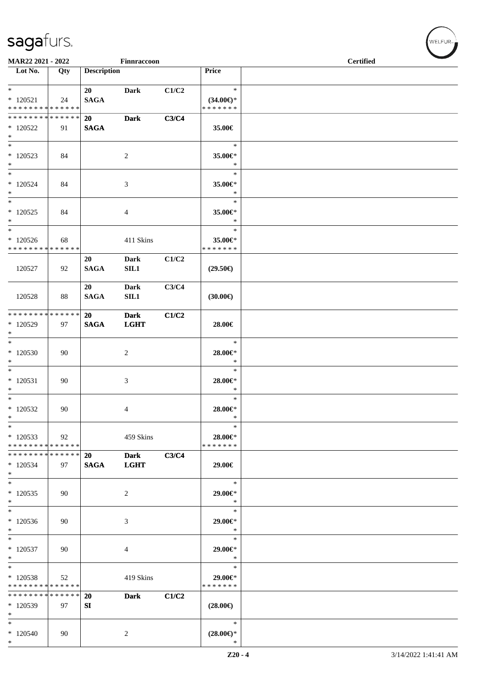| MAR22 2021 - 2022               |     |                    | Finnraccoon    |       |                     | <b>Certified</b> |  |  |
|---------------------------------|-----|--------------------|----------------|-------|---------------------|------------------|--|--|
| Lot No.                         | Qty | <b>Description</b> |                |       | Price               |                  |  |  |
|                                 |     |                    |                |       |                     |                  |  |  |
| $*$                             |     | 20                 | <b>Dark</b>    | C1/C2 | $\ast$              |                  |  |  |
| $* 120521$                      | 24  | <b>SAGA</b>        |                |       | $(34.00\epsilon)$ * |                  |  |  |
| * * * * * * * * * * * * * *     |     |                    |                |       | * * * * * * *       |                  |  |  |
| * * * * * * * * * * * * * *     |     | 20                 | <b>Dark</b>    | C3/C4 |                     |                  |  |  |
| $*120522$                       | 91  | <b>SAGA</b>        |                |       | 35.00€              |                  |  |  |
| $*$                             |     |                    |                |       |                     |                  |  |  |
| $*$                             |     |                    |                |       | $\ast$              |                  |  |  |
| $*120523$                       | 84  |                    | $\overline{c}$ |       | 35.00€*             |                  |  |  |
| $\ast$                          |     |                    |                |       | $\ast$              |                  |  |  |
| $*$                             |     |                    |                |       | $\ast$              |                  |  |  |
| $*120524$                       | 84  |                    | 3              |       | 35.00€*             |                  |  |  |
| $*$<br>$\overline{\phantom{1}}$ |     |                    |                |       | $\ast$              |                  |  |  |
|                                 |     |                    |                |       | $\ast$              |                  |  |  |
| $*120525$                       | 84  |                    | 4              |       | 35.00€*<br>$\ast$   |                  |  |  |
| $*$<br>$*$                      |     |                    |                |       | $\ast$              |                  |  |  |
| $*120526$                       |     |                    |                |       | 35.00€*             |                  |  |  |
| * * * * * * * * * * * * * *     | 68  |                    | 411 Skins      |       | * * * * * * *       |                  |  |  |
|                                 |     | 20                 | <b>Dark</b>    | C1/C2 |                     |                  |  |  |
| 120527                          | 92  | <b>SAGA</b>        | SL1            |       | $(29.50\epsilon)$   |                  |  |  |
|                                 |     |                    |                |       |                     |                  |  |  |
|                                 |     | 20                 | <b>Dark</b>    | C3/C4 |                     |                  |  |  |
| 120528                          | 88  | <b>SAGA</b>        | SL1            |       | (30.00)             |                  |  |  |
|                                 |     |                    |                |       |                     |                  |  |  |
| * * * * * * * * * * * * * * *   |     | 20                 | <b>Dark</b>    | C1/C2 |                     |                  |  |  |
| * 120529                        | 97  | <b>SAGA</b>        | <b>LGHT</b>    |       | 28.00€              |                  |  |  |
| $\ast$                          |     |                    |                |       |                     |                  |  |  |
| $*$                             |     |                    |                |       | $\ast$              |                  |  |  |
| $*120530$                       | 90  |                    | 2              |       | 28.00€*             |                  |  |  |
| $\ast$                          |     |                    |                |       | $\ast$              |                  |  |  |
| $\overline{\phantom{0}}$        |     |                    |                |       | $\ast$              |                  |  |  |
| $* 120531$                      | 90  |                    | 3              |       | 28.00€*             |                  |  |  |
| $*$                             |     |                    |                |       | $\ast$              |                  |  |  |
| $*$                             |     |                    |                |       | $\ast$              |                  |  |  |
| $*120532$                       | 90  |                    | 4              |       | 28.00€*             |                  |  |  |
| $\ast$                          |     |                    |                |       | $\ast$              |                  |  |  |
| $\ast$                          |     |                    |                |       | $\ast$              |                  |  |  |
| $*120533$                       | 92  |                    | 459 Skins      |       | 28.00€*             |                  |  |  |
| * * * * * * * * * * * * * *     |     |                    |                |       | * * * * * * *       |                  |  |  |
| * * * * * * * * * * * * * *     |     | 20                 | <b>Dark</b>    | C3/C4 |                     |                  |  |  |
| * 120534                        | 97  | <b>SAGA</b>        | <b>LGHT</b>    |       | 29.00€              |                  |  |  |
| $*$                             |     |                    |                |       |                     |                  |  |  |
| $*$                             |     |                    |                |       | $\ast$              |                  |  |  |
| $*120535$                       | 90  |                    | 2              |       | 29.00€*             |                  |  |  |
| $\ast$<br>$*$                   |     |                    |                |       | $\ast$<br>$\ast$    |                  |  |  |
|                                 |     |                    |                |       |                     |                  |  |  |
| $*120536$<br>$\ast$             | 90  |                    | 3              |       | 29.00€*<br>$\ast$   |                  |  |  |
| $\ast$                          |     |                    |                |       | $\ast$              |                  |  |  |
| $*120537$                       | 90  |                    |                |       | 29.00€*             |                  |  |  |
| $*$                             |     |                    | 4              |       | $\ast$              |                  |  |  |
| $*$                             |     |                    |                |       | $\ast$              |                  |  |  |
| $*120538$                       | 52  |                    | 419 Skins      |       | 29.00€*             |                  |  |  |
| * * * * * * * * * * * * * *     |     |                    |                |       | * * * * * * *       |                  |  |  |
| * * * * * * * * * * * * * *     |     | 20                 | <b>Dark</b>    | C1/C2 |                     |                  |  |  |
| * 120539                        | 97  | SI                 |                |       | $(28.00\epsilon)$   |                  |  |  |
| $\ast$                          |     |                    |                |       |                     |                  |  |  |
| $\ast$                          |     |                    |                |       | $\ast$              |                  |  |  |
| $*120540$                       | 90  |                    | 2              |       | $(28.00\epsilon)$ * |                  |  |  |
| $*$                             |     |                    |                |       | $\ast$              |                  |  |  |

 $(\forall ELFUR_{\text{max}})$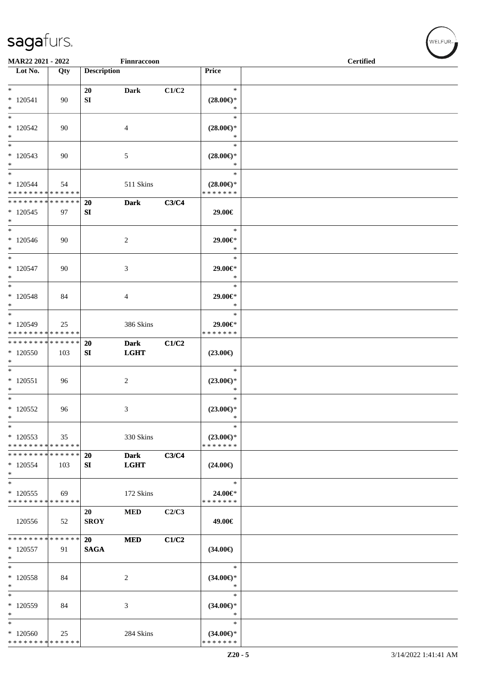| MAR22 2021 - 2022                                   |     |                          | Finnraccoon                |       |                                                | <b>Certified</b> |  |  |  |
|-----------------------------------------------------|-----|--------------------------|----------------------------|-------|------------------------------------------------|------------------|--|--|--|
| Lot No.                                             | Qty | <b>Description</b>       |                            |       | Price                                          |                  |  |  |  |
| $*$<br>$* 120541$<br>$*$                            | 90  | 20<br>SI                 | <b>Dark</b>                | C1/C2 | $\ast$<br>$(28.00\epsilon)$ *<br>$\ast$        |                  |  |  |  |
| $\overline{\phantom{0}}$<br>$*120542$<br>$\ast$     | 90  |                          | 4                          |       | $\ast$<br>$(28.00\epsilon)$ *<br>$\ast$        |                  |  |  |  |
| $\ast$<br>$*120543$<br>$*$                          | 90  |                          | 5                          |       | $\ast$<br>$(28.00\epsilon)$ *<br>$\ast$        |                  |  |  |  |
| $*$<br>$*120544$<br>* * * * * * * * * * * * * *     | 54  |                          | 511 Skins                  |       | $\ast$<br>$(28.00\epsilon)$ *<br>* * * * * * * |                  |  |  |  |
| * * * * * * * * * * * * * * *<br>$*120545$<br>$*$   | 97  | <b>20</b><br>SI          | <b>Dark</b>                | C3/C4 | 29.00€                                         |                  |  |  |  |
| $\overline{\ast}$<br>$*120546$<br>$*$               | 90  |                          | $\overline{c}$             |       | $\ast$<br>29.00€*<br>$\ast$                    |                  |  |  |  |
| $\ast$<br>$* 120547$<br>$*$                         | 90  |                          | 3                          |       | $\ast$<br>29.00€*<br>$\ast$                    |                  |  |  |  |
| $*$<br>$* 120548$<br>$*$                            | 84  |                          | 4                          |       | $\ast$<br>29.00€*<br>$\ast$                    |                  |  |  |  |
| $\ast$<br>$*120549$<br>* * * * * * * * * * * * * *  | 25  |                          | 386 Skins                  |       | $\ast$<br>29.00€*<br>* * * * * * *             |                  |  |  |  |
| * * * * * * * * * * * * * * *<br>$*120550$<br>$*$   | 103 | 20<br>SI                 | <b>Dark</b><br><b>LGHT</b> | C1/C2 | $(23.00\epsilon)$                              |                  |  |  |  |
| $*$<br>$*120551$<br>$\ast$                          | 96  |                          | 2                          |       | $\ast$<br>$(23.00\epsilon)$ *<br>$\ast$        |                  |  |  |  |
| $*$<br>$*120552$<br>$\ast$                          | 96  |                          | 3                          |       | $\ast$<br>$(23.00\epsilon)$ *<br>$\ast$        |                  |  |  |  |
| $\ast$<br>$*120553$<br>* * * * * * * * * * * * * *  | 35  |                          | 330 Skins                  |       | $\ast$<br>$(23.00\epsilon)$ *<br>* * * * * * * |                  |  |  |  |
| * * * * * * * * * * * * * *<br>$*120554$<br>$*$     | 103 | 20<br>SI                 | <b>Dark</b><br><b>LGHT</b> | C3/C4 | $(24.00\epsilon)$                              |                  |  |  |  |
| $*$<br>$*120555$<br>* * * * * * * * * * * * * *     | 69  |                          | 172 Skins                  |       | $\ast$<br>24.00€*<br>* * * * * * *             |                  |  |  |  |
| 120556                                              | 52  | 20<br><b>SROY</b>        | <b>MED</b>                 | C2/C3 | 49.00€                                         |                  |  |  |  |
| * * * * * * * * * * * * * * *<br>$*120557$<br>$*$   | 91  | <b>20</b><br><b>SAGA</b> | <b>MED</b>                 | C1/C2 | $(34.00\epsilon)$                              |                  |  |  |  |
| $*$<br>* 120558<br>$*$                              | 84  |                          | $\overline{c}$             |       | $\ast$<br>$(34.00\epsilon)$ *<br>$\ast$        |                  |  |  |  |
| $\ast$<br>$*120559$<br>$*$                          | 84  |                          | 3                          |       | $\ast$<br>$(34.00\epsilon)$ *<br>$\ast$        |                  |  |  |  |
| $\ast$<br>$*120560$<br>******** <mark>******</mark> | 25  |                          | 284 Skins                  |       | $\ast$<br>$(34.00\epsilon)$ *<br>* * * * * * * |                  |  |  |  |

 $w$ ELFUR<sub>m</sub>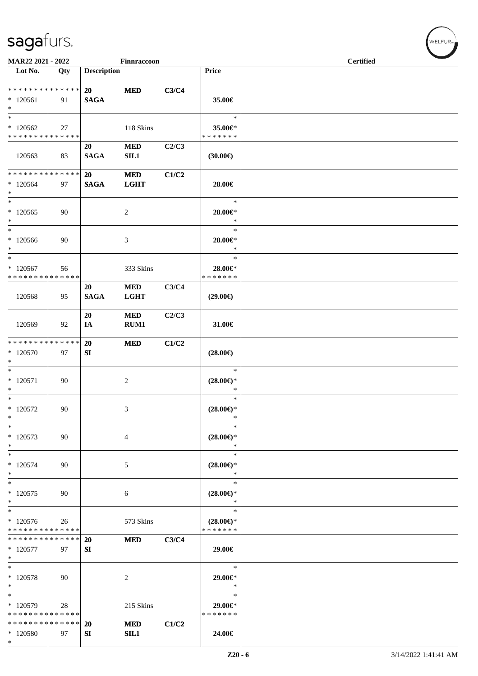| MAR22 2021 - 2022                                   |     |                    | Finnraccoon               |       |                                                | <b>Certified</b> |  |  |
|-----------------------------------------------------|-----|--------------------|---------------------------|-------|------------------------------------------------|------------------|--|--|
| $\overline{\phantom{a}}$ Lot No.                    | Qty | <b>Description</b> |                           |       | Price                                          |                  |  |  |
| ******** <mark>******</mark><br>$*120561$<br>$\ast$ | 91  | 20<br><b>SAGA</b>  | <b>MED</b>                | C3/C4 | 35.00€                                         |                  |  |  |
| $\ast$<br>$*120562$<br>* * * * * * * * * * * * * *  | 27  |                    | 118 Skins                 |       | $\ast$<br>35.00€*<br>* * * * * * *             |                  |  |  |
| 120563                                              | 83  | 20<br><b>SAGA</b>  | $\bf MED$<br>SL1          | C2/C3 | (30.00)                                        |                  |  |  |
| * * * * * * * * * * * * * *<br>$*120564$<br>$\ast$  | 97  | 20<br><b>SAGA</b>  | $\bf MED$<br><b>LGHT</b>  | C1/C2 | 28.00€                                         |                  |  |  |
| $\ast$<br>$*120565$<br>$*$                          | 90  |                    | $\overline{c}$            |       | $\ast$<br>28.00€*<br>$\ast$                    |                  |  |  |
| $\ast$<br>$*120566$<br>$\ast$                       | 90  |                    | $\mathfrak{Z}$            |       | $\ast$<br>28.00€*<br>$\ast$                    |                  |  |  |
| $\ast$<br>$*120567$<br>* * * * * * * * * * * * * *  | 56  |                    | 333 Skins                 |       | $\ast$<br>28.00€*<br>* * * * * * *             |                  |  |  |
| 120568                                              | 95  | 20<br><b>SAGA</b>  | <b>MED</b><br><b>LGHT</b> | C3/C4 | $(29.00\epsilon)$                              |                  |  |  |
| 120569                                              | 92  | 20<br>IA           | <b>MED</b><br>RUM1        | C2/C3 | 31.00€                                         |                  |  |  |
| * * * * * * * * * * * * * *<br>* 120570<br>$\ast$   | 97  | 20<br>SI           | <b>MED</b>                | C1/C2 | $(28.00\epsilon)$                              |                  |  |  |
| $\overline{\phantom{0}}$<br>$* 120571$<br>$*$       | 90  |                    | $\overline{c}$            |       | $\ast$<br>$(28.00\epsilon)$ *<br>$\ast$        |                  |  |  |
| $\ast$<br>$*120572$<br>$\ast$                       | 90  |                    | 3                         |       | $\ast$<br>$(28.00\epsilon)$ *<br>$\ast$        |                  |  |  |
| $\ast$<br>$*120573$<br>$\ast$                       | 90  |                    | $\overline{4}$            |       | $\ast$<br>$(28.00\epsilon)$ *<br>$\ast$        |                  |  |  |
| $\ast$<br>$*120574$<br>$\ast$                       | 90  |                    | 5                         |       | $\ast$<br>$(28.00\epsilon)$ *<br>$\ast$        |                  |  |  |
| $\ast$<br>$*120575$<br>$\ast$                       | 90  |                    | 6                         |       | $\ast$<br>$(28.00\epsilon)$ *<br>$\ast$        |                  |  |  |
| $\ast$<br>$*120576$<br>* * * * * * * * * * * * * *  | 26  |                    | 573 Skins                 |       | $\ast$<br>$(28.00\epsilon)$ *<br>* * * * * * * |                  |  |  |
| * * * * * * * * * * * * * *<br>$*120577$<br>$\ast$  | 97  | 20<br>${\bf SI}$   | <b>MED</b>                | C3/C4 | 29.00€                                         |                  |  |  |
| $\ast$<br>* 120578<br>$\ast$                        | 90  |                    | 2                         |       | $\ast$<br>29.00€*<br>$\ast$                    |                  |  |  |
| $\ast$<br>* 120579<br>* * * * * * * * * * * * * *   | 28  |                    | 215 Skins                 |       | $\ast$<br>29.00€*<br>* * * * * * *             |                  |  |  |
| * * * * * * * * * * * * * *<br>* 120580<br>$\ast$   | 97  | <b>20</b><br>SI    | <b>MED</b><br>SL1         | C1/C2 | 24.00€                                         |                  |  |  |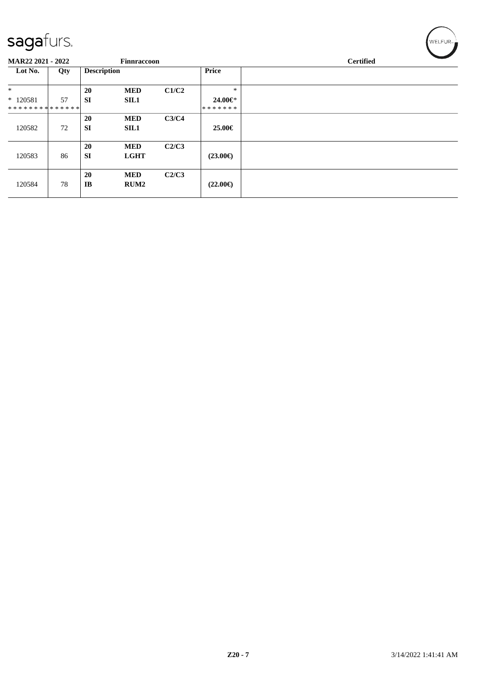| sagafurs.                |     |                    |                    |       |                   | WELFUR <sub>™</sub> |
|--------------------------|-----|--------------------|--------------------|-------|-------------------|---------------------|
| <b>MAR22 2021 - 2022</b> |     |                    | <b>Finnraccoon</b> |       |                   | <b>Certified</b>    |
| Lot No.                  | Qty | <b>Description</b> |                    |       | Price             |                     |
| $\ast$                   |     | 20                 | <b>MED</b>         | C1/C2 | $\ast$            |                     |
| $*120581$                | 57  | <b>SI</b>          | <b>SIL1</b>        |       | 24.00€*           |                     |
| **************           |     |                    |                    |       | *******           |                     |
|                          |     | 20                 | <b>MED</b>         | C3/C4 |                   |                     |
| 120582                   | 72  | <b>SI</b>          | <b>SIL1</b>        |       | 25.00€            |                     |
|                          |     |                    |                    |       |                   |                     |
|                          |     | <b>20</b>          | <b>MED</b>         | C2/C3 |                   |                     |
| 120583                   | 86  | <b>SI</b>          | <b>LGHT</b>        |       | $(23.00\epsilon)$ |                     |
|                          |     | 20                 | <b>MED</b>         | C2/C3 |                   |                     |
| 120584                   | 78  | IB                 | RUM <sub>2</sub>   |       | $(22.00\epsilon)$ |                     |
|                          |     |                    |                    |       |                   |                     |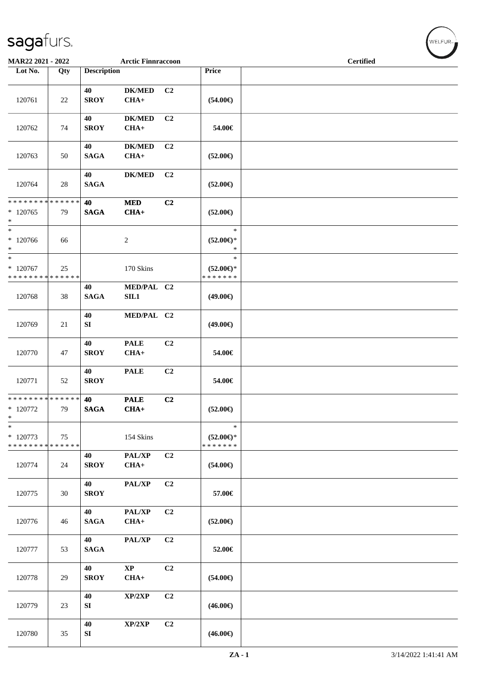| MAR22 2021 - 2022                                    |     |                        | <b>Arctic Finnraccoon</b> |                |                                                | <b>Certified</b> |  |  |  |
|------------------------------------------------------|-----|------------------------|---------------------------|----------------|------------------------------------------------|------------------|--|--|--|
| Lot No.                                              | Qty | <b>Description</b>     |                           |                | <b>Price</b>                                   |                  |  |  |  |
| 120761                                               | 22  | 40<br><b>SROY</b>      | <b>DK/MED</b><br>$CHA+$   | C <sub>2</sub> | $(54.00\epsilon)$                              |                  |  |  |  |
| 120762                                               | 74  | 40<br><b>SROY</b>      | <b>DK/MED</b><br>$CHA+$   | C2             | 54.00€                                         |                  |  |  |  |
| 120763                                               | 50  | 40<br><b>SAGA</b>      | <b>DK/MED</b><br>$CHA+$   | C <sub>2</sub> | $(52.00\epsilon)$                              |                  |  |  |  |
| 120764                                               | 28  | 40<br><b>SAGA</b>      | <b>DK/MED</b>             | C <sub>2</sub> | $(52.00\epsilon)$                              |                  |  |  |  |
| * * * * * * * * * * * * * * *<br>$*120765$<br>$\ast$ | 79  | 40<br><b>SAGA</b>      | $\bf MED$<br>$CHA+$       | C2             | $(52.00\epsilon)$                              |                  |  |  |  |
| $*$<br>$*120766$<br>$*$                              | 66  |                        | 2                         |                | $\ast$<br>$(52.00\epsilon)$ *<br>$\ast$        |                  |  |  |  |
| $*$<br>$*120767$<br>* * * * * * * * * * * * * *      | 25  |                        | 170 Skins                 |                | $\ast$<br>$(52.00\epsilon)$ *<br>* * * * * * * |                  |  |  |  |
| 120768                                               | 38  | 40<br><b>SAGA</b>      | MED/PAL C2<br>SIL1        |                | $(49.00\epsilon)$                              |                  |  |  |  |
| 120769                                               | 21  | 40<br>${\bf S}{\bf I}$ | MED/PAL C2                |                | $(49.00\epsilon)$                              |                  |  |  |  |
| 120770                                               | 47  | 40<br><b>SROY</b>      | <b>PALE</b><br>$CHA+$     | C <sub>2</sub> | 54.00€                                         |                  |  |  |  |
| 120771                                               | 52  | 40<br><b>SROY</b>      | <b>PALE</b>               | C <sub>2</sub> | 54.00€                                         |                  |  |  |  |
| ******** <mark>******</mark><br>* 120772<br>$\ast$   | 79  | 40<br><b>SAGA</b>      | <b>PALE</b><br>$CHA+$     | C2             | $(52.00\epsilon)$                              |                  |  |  |  |
| $\ast$<br>* 120773<br>* * * * * * * * * * * * * *    | 75  |                        | 154 Skins                 |                | $\ast$<br>$(52.00\epsilon)$ *<br>* * * * * * * |                  |  |  |  |
| 120774                                               | 24  | 40<br><b>SROY</b>      | PAL/XP<br>$CHA+$          | C2             | $(54.00\epsilon)$                              |                  |  |  |  |
| 120775                                               | 30  | 40<br><b>SROY</b>      | PAL/XP                    | C <sub>2</sub> | 57.00€                                         |                  |  |  |  |
| 120776                                               | 46  | 40<br><b>SAGA</b>      | PAL/XP<br>$CHA+$          | C <sub>2</sub> | $(52.00\epsilon)$                              |                  |  |  |  |
| 120777                                               | 53  | 40<br><b>SAGA</b>      | PAL/XP                    | C <sub>2</sub> | 52.00€                                         |                  |  |  |  |
| 120778                                               | 29  | 40<br><b>SROY</b>      | $\bold{XP}$<br>$CHA+$     | C2             | $(54.00\epsilon)$                              |                  |  |  |  |
| 120779                                               | 23  | 40<br>${\bf SI}$       | XP/2XP                    | C <sub>2</sub> | $(46.00\epsilon)$                              |                  |  |  |  |
| 120780                                               | 35  | 40<br>SI               | XP/2XP                    | C <sub>2</sub> | $(46.00\epsilon)$                              |                  |  |  |  |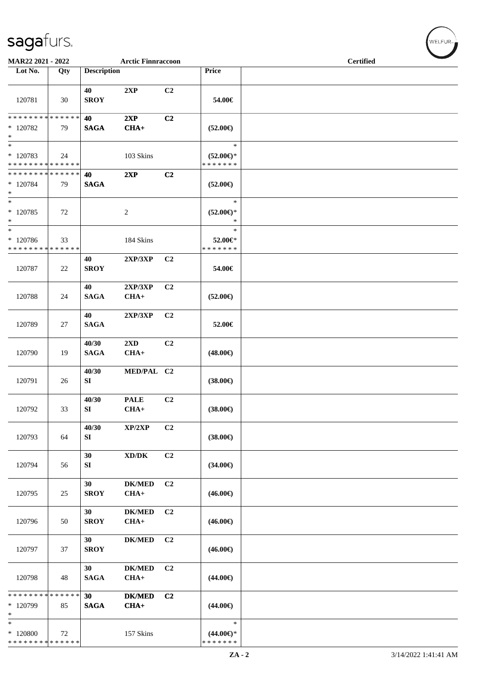| MAR22 2021 - 2022                                                     |     |                      | <b>Arctic Finnraccoon</b>           |                |                                                | <b>Certified</b> |
|-----------------------------------------------------------------------|-----|----------------------|-------------------------------------|----------------|------------------------------------------------|------------------|
| Lot No.                                                               | Qty | <b>Description</b>   |                                     |                | Price                                          |                  |
| 120781                                                                | 30  | 40<br><b>SROY</b>    | 2XP                                 | C <sub>2</sub> | 54.00€                                         |                  |
| * * * * * * * * * * * * * *<br>$*120782$<br>$\ast$                    | 79  | 40<br><b>SAGA</b>    | 2XP<br>$CHA+$                       | C <sub>2</sub> | $(52.00\epsilon)$                              |                  |
| $\overline{\phantom{a}^*}$<br>* 120783<br>* * * * * * * * * * * * * * | 24  |                      | 103 Skins                           |                | $\ast$<br>$(52.00\epsilon)$ *<br>* * * * * * * |                  |
| * * * * * * * * * * * * * *<br>* 120784<br>$\ast$                     | 79  | 40<br><b>SAGA</b>    | 2XP                                 | C2             | $(52.00\epsilon)$                              |                  |
| $\overline{\phantom{1}}$<br>$*$ 120785<br>$\ast$                      | 72  |                      | $\sqrt{2}$                          |                | $\ast$<br>$(52.00\epsilon)$ *<br>$\ast$        |                  |
| $_*^-$<br>* 120786<br>* * * * * * * * * * * * * *                     | 33  |                      | 184 Skins                           |                | $\ast$<br>52.00€*<br>* * * * * * *             |                  |
| 120787                                                                | 22  | 40<br><b>SROY</b>    | 2XP/3XP                             | C2             | 54.00€                                         |                  |
| 120788                                                                | 24  | 40<br><b>SAGA</b>    | 2XP/3XP<br>$CHA+$                   | C2             | $(52.00\epsilon)$                              |                  |
| 120789                                                                | 27  | 40<br><b>SAGA</b>    | 2XP/3XP                             | C <sub>2</sub> | 52.00€                                         |                  |
| 120790                                                                | 19  | 40/30<br><b>SAGA</b> | 2XD<br>$CHA+$                       | C2             | $(48.00\epsilon)$                              |                  |
| 120791                                                                | 26  | 40/30<br>SI          | MED/PAL C2                          |                | $(38.00\epsilon)$                              |                  |
| 120792                                                                | 33  | 40/30<br>SI          | <b>PALE</b><br>$CHA+$               | C <sub>2</sub> | $(38.00\in)$                                   |                  |
| 120793                                                                | 64  | 40/30<br>SI          | XP/2XP                              | C2             | $(38.00\epsilon)$                              |                  |
| 120794                                                                | 56  | 30<br>SI             | $\bold{X}\bold{D}/\bold{D}\bold{K}$ | C2             | $(34.00\epsilon)$                              |                  |
| 120795                                                                | 25  | 30<br><b>SROY</b>    | $DK/MED$<br>$CHA+$                  | C2             | $(46.00\epsilon)$                              |                  |
| 120796                                                                | 50  | 30<br><b>SROY</b>    | <b>DK/MED</b><br>$CHA+$             | C2             | $(46.00\epsilon)$                              |                  |
| 120797                                                                | 37  | 30<br><b>SROY</b>    | <b>DK/MED</b>                       | C <sub>2</sub> | $(46.00\epsilon)$                              |                  |
| 120798                                                                | 48  | 30<br><b>SAGA</b>    | $DK/MED$<br>$CHA+$                  | C <sub>2</sub> | $(44.00\epsilon)$                              |                  |
| * * * * * * * * * * * * * *<br>* 120799<br>$\ast$                     | 85  | 30<br><b>SAGA</b>    | <b>DK/MED</b><br>$CHA+$             | C2             | $(44.00\epsilon)$                              |                  |
| $\ast$<br>* 120800<br>* * * * * * * * * * * * * *                     | 72  |                      | 157 Skins                           |                | $\ast$<br>$(44.00\epsilon)$ *<br>* * * * * * * |                  |

WELFUR-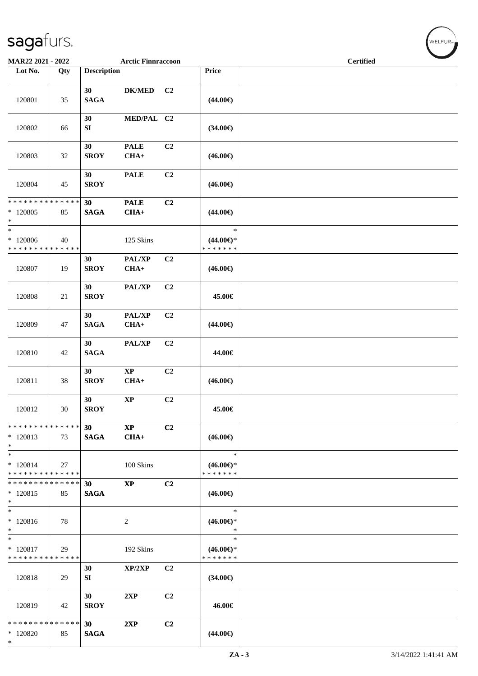| MAR22 2021 - 2022                                 |     |                    | <b>Arctic Finnraccoon</b>        |                |                                                | <b>Certified</b> |  |  |
|---------------------------------------------------|-----|--------------------|----------------------------------|----------------|------------------------------------------------|------------------|--|--|
| Lot No.                                           | Qty | <b>Description</b> |                                  |                | Price                                          |                  |  |  |
| 120801                                            | 35  | 30<br><b>SAGA</b>  | <b>DK/MED</b>                    | C <sub>2</sub> | $(44.00\epsilon)$                              |                  |  |  |
| 120802                                            | 66  | 30<br>SI           | MED/PAL C2                       |                | $(34.00\epsilon)$                              |                  |  |  |
| 120803                                            | 32  | 30<br><b>SROY</b>  | <b>PALE</b><br>$CHA+$            | C <sub>2</sub> | $(46.00\epsilon)$                              |                  |  |  |
| 120804                                            | 45  | 30<br><b>SROY</b>  | <b>PALE</b>                      | C <sub>2</sub> | $(46.00\epsilon)$                              |                  |  |  |
| * * * * * * * * * * * * * *<br>$*120805$<br>$*$   | 85  | 30<br><b>SAGA</b>  | <b>PALE</b><br>$CHA+$            | C2             | $(44.00\epsilon)$                              |                  |  |  |
| $*$<br>* 120806<br>* * * * * * * * * * * * * *    | 40  |                    | 125 Skins                        |                | $\ast$<br>$(44.00\epsilon)$ *<br>* * * * * * * |                  |  |  |
| 120807                                            | 19  | 30<br><b>SROY</b>  | PAL/XP<br>$CHA+$                 | C2             | $(46.00\epsilon)$                              |                  |  |  |
| 120808                                            | 21  | 30<br><b>SROY</b>  | PAL/XP                           | C2             | 45.00€                                         |                  |  |  |
| 120809                                            | 47  | 30<br><b>SAGA</b>  | PAL/XP<br>$CHA+$                 | C <sub>2</sub> | $(44.00\epsilon)$                              |                  |  |  |
| 120810                                            | 42  | 30<br><b>SAGA</b>  | PAL/XP                           | C <sub>2</sub> | 44.00€                                         |                  |  |  |
| 120811                                            | 38  | 30<br><b>SROY</b>  | $\bold{XP}$<br>$CHA+$            | C <sub>2</sub> | $(46.00\epsilon)$                              |                  |  |  |
| 120812                                            | 30  | 30<br><b>SROY</b>  | $\bold{XP}$                      | C2             | 45.00€                                         |                  |  |  |
| * * * * * * * * * * * * * * *<br>$*120813$<br>$*$ | 73  | 30<br><b>SAGA</b>  | $\mathbf{X}\mathbf{P}$<br>$CHA+$ | C2             | $(46.00\epsilon)$                              |                  |  |  |
| $*$<br>$* 120814$<br>* * * * * * * * * * * * * *  | 27  |                    | 100 Skins                        |                | $\ast$<br>$(46.00\epsilon)$ *<br>* * * * * * * |                  |  |  |
| * * * * * * * * * * * * * * *<br>$*120815$<br>$*$ | 85  | 30<br><b>SAGA</b>  | $\mathbf{XP}$                    | C <sub>2</sub> | $(46.00\epsilon)$                              |                  |  |  |
| $*$<br>$*120816$<br>$*$                           | 78  |                    | 2                                |                | $\ast$<br>$(46.00\epsilon)$ *<br>$\ast$        |                  |  |  |
| $*$<br>* 120817<br>* * * * * * * * * * * * * *    | 29  |                    | 192 Skins                        |                | $\ast$<br>$(46.00\epsilon)$ *<br>* * * * * * * |                  |  |  |
| 120818                                            | 29  | 30<br>SI           | XP/2XP                           | C <sub>2</sub> | $(34.00\epsilon)$                              |                  |  |  |
| 120819                                            | 42  | 30<br><b>SROY</b>  | 2XP                              | C <sub>2</sub> | 46.00€                                         |                  |  |  |
| * * * * * * * * * * * * * *<br>$*120820$<br>$*$   | 85  | 30<br><b>SAGA</b>  | 2XP                              | C2             | $(44.00\epsilon)$                              |                  |  |  |